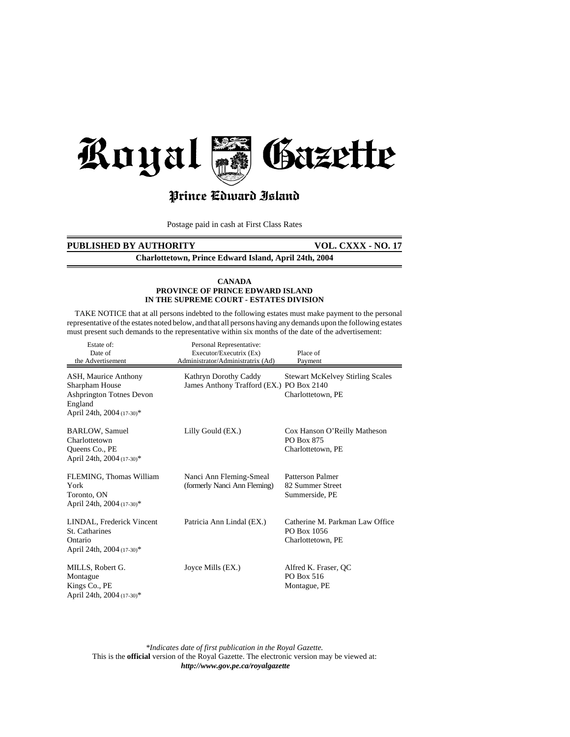

# Prince Cdward Island

Postage paid in cash at First Class Rates

# PUBLISHED BY AUTHORITY VOL. CXXX - NO. 17

**Charlottetown, Prince Edward Island, April 24th, 2004**

## **CANADA PROVINCE OF PRINCE EDWARD ISLAND IN THE SUPREME COURT - ESTATES DIVISION**

 TAKE NOTICE that at all persons indebted to the following estates must make payment to the personal representative of the estates noted below, and that all persons having any demands upon the following estates must present such demands to the representative within six months of the date of the advertisement:

| Estate of:<br>Date of<br>the Advertisement                                                                        | Personal Representative:<br>Executor/Executrix (Ex)<br>Administrator/Administratrix (Ad) | Place of<br>Payment                                                 |
|-------------------------------------------------------------------------------------------------------------------|------------------------------------------------------------------------------------------|---------------------------------------------------------------------|
| ASH, Maurice Anthony<br>Sharpham House<br><b>Ashprington Totnes Devon</b><br>England<br>April 24th, 2004 (17-30)* | Kathryn Dorothy Caddy<br>James Anthony Trafford (EX.) PO Box 2140                        | <b>Stewart McKelvey Stirling Scales</b><br>Charlottetown, PE        |
| <b>BARLOW</b> , Samuel<br>Charlottetown<br>Queens Co., PE<br>April 24th, 2004 (17-30)*                            | Lilly Gould (EX.)                                                                        | Cox Hanson O'Reilly Matheson<br>PO Box 875<br>Charlottetown, PE     |
| FLEMING, Thomas William<br>York<br>Toronto, ON<br>April 24th, 2004 (17-30)*                                       | Nanci Ann Fleming-Smeal<br>(formerly Nanci Ann Fleming)                                  | Patterson Palmer<br>82 Summer Street<br>Summerside, PE              |
| LINDAL, Frederick Vincent<br>St. Catharines<br>Ontario<br>April 24th, 2004 (17-30)*                               | Patricia Ann Lindal (EX.)                                                                | Catherine M. Parkman Law Office<br>PO Box 1056<br>Charlottetown, PE |
| MILLS, Robert G.<br>Montague<br>Kings Co., PE<br>April 24th, 2004 (17-30)*                                        | Joyce Mills (EX.)                                                                        | Alfred K. Fraser, QC<br>PO Box 516<br>Montague, PE                  |

*\*Indicates date of first publication in the Royal Gazette.* This is the **official** version of the Royal Gazette. The electronic version may be viewed at: *http://www.gov.pe.ca/royalgazette*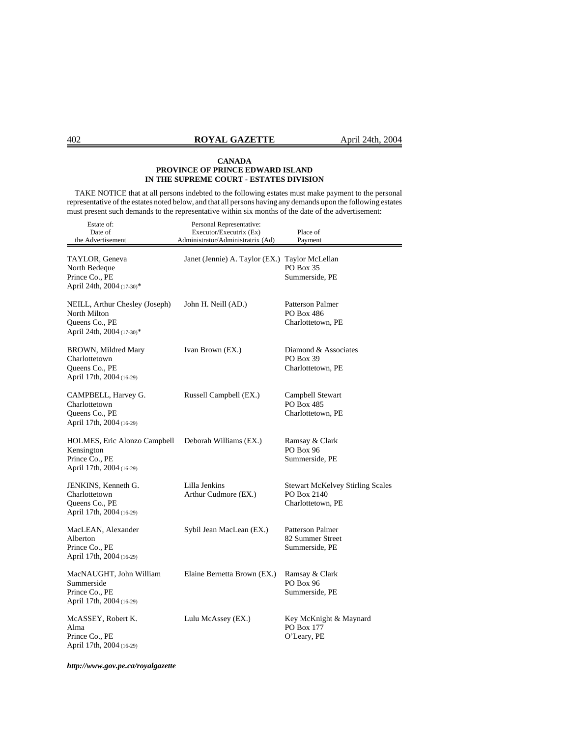TAKE NOTICE that at all persons indebted to the following estates must make payment to the personal representative of the estates noted below, and that all persons having any demands upon the following estates must present such demands to the representative within six months of the date of the advertisement:

| Estate of:<br>Date of<br>the Advertisement                                                    | Personal Representative:<br>Executor/Executrix (Ex)<br>Administrator/Administratrix (Ad) | Place of<br>Payment                                                         |
|-----------------------------------------------------------------------------------------------|------------------------------------------------------------------------------------------|-----------------------------------------------------------------------------|
| TAYLOR, Geneva<br>North Bedeque<br>Prince Co., PE<br>April 24th, 2004 (17-30)*                | Janet (Jennie) A. Taylor (EX.)                                                           | Taylor McLellan<br>PO Box 35<br>Summerside, PE                              |
| NEILL, Arthur Chesley (Joseph)<br>North Milton<br>Queens Co., PE<br>April 24th, 2004 (17-30)* | John H. Neill (AD.)                                                                      | Patterson Palmer<br>PO Box 486<br>Charlottetown, PE                         |
| BROWN, Mildred Mary<br>Charlottetown<br>Queens Co., PE<br>April 17th, 2004 (16-29)            | Ivan Brown (EX.)                                                                         | Diamond & Associates<br>PO Box 39<br>Charlottetown, PE                      |
| CAMPBELL, Harvey G.<br>Charlottetown<br>Queens Co., PE<br>April 17th, 2004 (16-29)            | Russell Campbell (EX.)                                                                   | Campbell Stewart<br>PO Box 485<br>Charlottetown, PE                         |
| HOLMES, Eric Alonzo Campbell<br>Kensington<br>Prince Co., PE<br>April 17th, 2004 (16-29)      | Deborah Williams (EX.)                                                                   | Ramsay & Clark<br><b>PO Box 96</b><br>Summerside, PE                        |
| JENKINS, Kenneth G.<br>Charlottetown<br>Queens Co., PE<br>April 17th, 2004 (16-29)            | Lilla Jenkins<br>Arthur Cudmore (EX.)                                                    | <b>Stewart McKelvey Stirling Scales</b><br>PO Box 2140<br>Charlottetown, PE |
| MacLEAN, Alexander<br>Alberton<br>Prince Co., PE<br>April 17th, 2004 (16-29)                  | Sybil Jean MacLean (EX.)                                                                 | Patterson Palmer<br>82 Summer Street<br>Summerside, PE                      |
| MacNAUGHT, John William<br>Summerside<br>Prince Co., PE<br>April 17th, 2004 (16-29)           | Elaine Bernetta Brown (EX.)                                                              | Ramsay & Clark<br>PO Box 96<br>Summerside, PE                               |
| McASSEY, Robert K.<br>Alma<br>Prince Co., PE<br>April 17th, 2004 (16-29)                      | Lulu McAssey (EX.)                                                                       | Key McKnight & Maynard<br>PO Box 177<br>O'Leary, PE                         |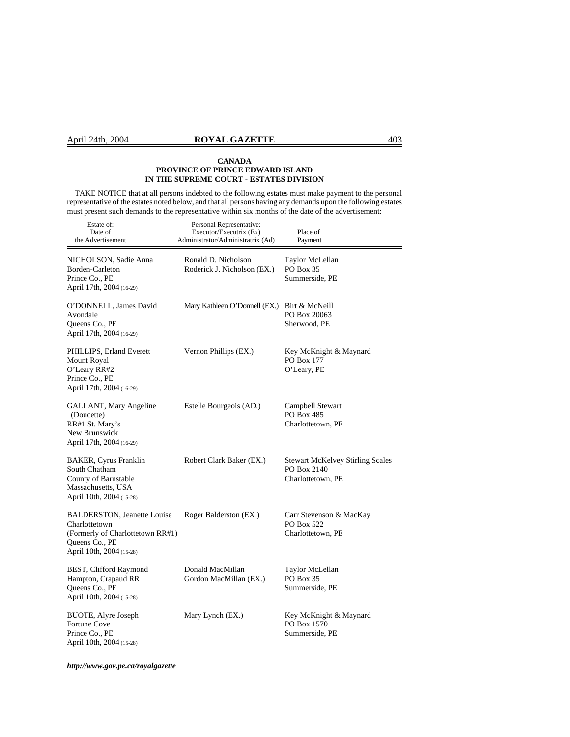# April 24th, 2004 **ROYAL GAZETTE** 403

## **CANADA PROVINCE OF PRINCE EDWARD ISLAND IN THE SUPREME COURT - ESTATES DIVISION**

 TAKE NOTICE that at all persons indebted to the following estates must make payment to the personal representative of the estates noted below, and that all persons having any demands upon the following estates must present such demands to the representative within six months of the date of the advertisement:

| Estate of:<br>Date of<br>the Advertisement                                                                                            | Personal Representative:<br>Executor/Executrix (Ex)<br>Administrator/Administratrix (Ad) | Place of<br>Payment                                                         |
|---------------------------------------------------------------------------------------------------------------------------------------|------------------------------------------------------------------------------------------|-----------------------------------------------------------------------------|
| NICHOLSON, Sadie Anna<br>Borden-Carleton<br>Prince Co., PE<br>April 17th, 2004 (16-29)                                                | Ronald D. Nicholson<br>Roderick J. Nicholson (EX.)                                       | Taylor McLellan<br><b>PO Box 35</b><br>Summerside, PE                       |
| O'DONNELL, James David<br>Avondale<br>Queens Co., PE<br>April 17th, 2004 (16-29)                                                      | Mary Kathleen O'Donnell (EX.)                                                            | Birt & McNeill<br>PO Box 20063<br>Sherwood, PE                              |
| PHILLIPS, Erland Everett<br><b>Mount Royal</b><br>O'Leary RR#2<br>Prince Co., PE<br>April 17th, 2004 (16-29)                          | Vernon Phillips (EX.)                                                                    | Key McKnight & Maynard<br>PO Box 177<br>O'Leary, PE                         |
| GALLANT, Mary Angeline<br>(Doucette)<br>RR#1 St. Mary's<br>New Brunswick<br>April 17th, 2004 (16-29)                                  | Estelle Bourgeois (AD.)                                                                  | Campbell Stewart<br>PO Box 485<br>Charlottetown, PE                         |
| <b>BAKER, Cyrus Franklin</b><br>South Chatham<br>County of Barnstable<br>Massachusetts, USA<br>April 10th, 2004 (15-28)               | Robert Clark Baker (EX.)                                                                 | <b>Stewart McKelvey Stirling Scales</b><br>PO Box 2140<br>Charlottetown, PE |
| <b>BALDERSTON, Jeanette Louise</b><br>Charlottetown<br>(Formerly of Charlottetown RR#1)<br>Queens Co., PE<br>April 10th, 2004 (15-28) | Roger Balderston (EX.)                                                                   | Carr Stevenson & MacKay<br><b>PO Box 522</b><br>Charlottetown, PE           |
| BEST, Clifford Raymond<br>Hampton, Crapaud RR<br>Queens Co., PE<br>April 10th, 2004 (15-28)                                           | Donald MacMillan<br>Gordon MacMillan (EX.)                                               | Taylor McLellan<br>PO Box 35<br>Summerside, PE                              |
| BUOTE, Alyre Joseph<br>Fortune Cove<br>Prince Co., PE<br>April 10th, 2004 (15-28)                                                     | Mary Lynch (EX.)                                                                         | Key McKnight & Maynard<br>PO Box 1570<br>Summerside, PE                     |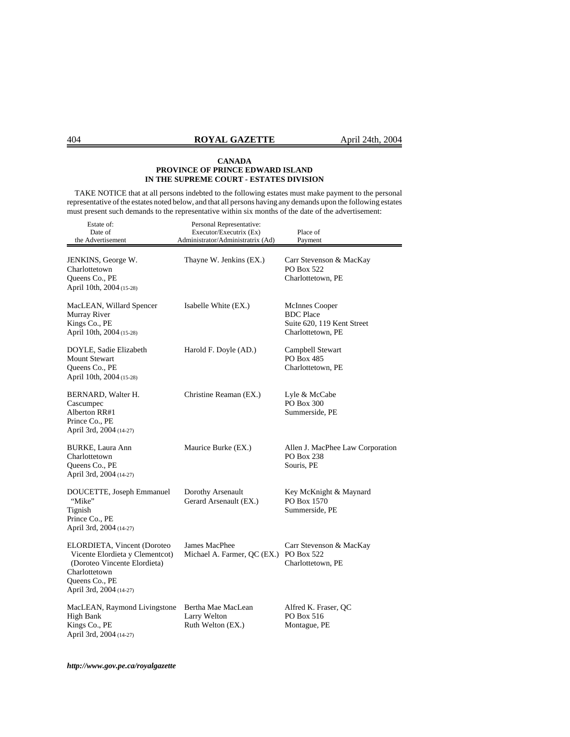TAKE NOTICE that at all persons indebted to the following estates must make payment to the personal representative of the estates noted below, and that all persons having any demands upon the following estates must present such demands to the representative within six months of the date of the advertisement:

| Estate of:<br>Date of<br>the Advertisement                                                                                                                   | Personal Representative:<br>Executor/Executrix (Ex)<br>Administrator/Administratrix (Ad) | Place of<br>Payment                                                                   |
|--------------------------------------------------------------------------------------------------------------------------------------------------------------|------------------------------------------------------------------------------------------|---------------------------------------------------------------------------------------|
| JENKINS, George W.<br>Charlottetown<br>Queens Co., PE<br>April 10th, 2004 (15-28)                                                                            | Thayne W. Jenkins (EX.)                                                                  | Carr Stevenson & MacKay<br><b>PO Box 522</b><br>Charlottetown, PE                     |
| MacLEAN, Willard Spencer<br>Murray River<br>Kings Co., PE<br>April 10th, 2004 (15-28)                                                                        | Isabelle White (EX.)                                                                     | McInnes Cooper<br><b>BDC</b> Place<br>Suite 620, 119 Kent Street<br>Charlottetown, PE |
| DOYLE, Sadie Elizabeth<br><b>Mount Stewart</b><br>Queens Co., PE<br>April 10th, 2004 (15-28)                                                                 | Harold F. Doyle (AD.)                                                                    | Campbell Stewart<br>PO Box 485<br>Charlottetown, PE                                   |
| BERNARD, Walter H.<br>Cascumpec<br>Alberton RR#1<br>Prince Co., PE<br>April 3rd, 2004 (14-27)                                                                | Christine Reaman (EX.)                                                                   | Lyle & McCabe<br>PO Box 300<br>Summerside, PE                                         |
| BURKE, Laura Ann<br>Charlottetown<br>Queens Co., PE<br>April 3rd, 2004 (14-27)                                                                               | Maurice Burke (EX.)                                                                      | Allen J. MacPhee Law Corporation<br>PO Box 238<br>Souris, PE                          |
| DOUCETTE, Joseph Emmanuel<br>"Mike"<br>Tignish<br>Prince Co., PE<br>April 3rd, 2004 (14-27)                                                                  | Dorothy Arsenault<br>Gerard Arsenault (EX.)                                              | Key McKnight & Maynard<br>PO Box 1570<br>Summerside, PE                               |
| ELORDIETA, Vincent (Doroteo<br>Vicente Elordieta y Clementcot)<br>(Doroteo Vincente Elordieta)<br>Charlottetown<br>Queens Co., PE<br>April 3rd, 2004 (14-27) | James MacPhee<br>Michael A. Farmer, QC (EX.) PO Box 522                                  | Carr Stevenson & MacKay<br>Charlottetown, PE                                          |
| MacLEAN, Raymond Livingstone<br><b>High Bank</b><br>Kings Co., PE<br>April 3rd, 2004 (14-27)                                                                 | Bertha Mae MacLean<br>Larry Welton<br>Ruth Welton (EX.)                                  | Alfred K. Fraser, QC<br>PO Box 516<br>Montague, PE                                    |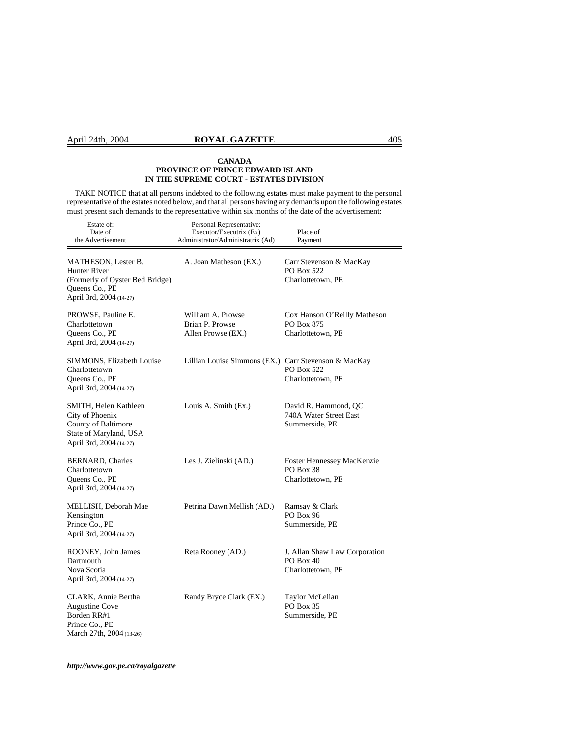# April 24th, 2004 **ROYAL GAZETTE** 405

## **CANADA PROVINCE OF PRINCE EDWARD ISLAND IN THE SUPREME COURT - ESTATES DIVISION**

 TAKE NOTICE that at all persons indebted to the following estates must make payment to the personal representative of the estates noted below, and that all persons having any demands upon the following estates must present such demands to the representative within six months of the date of the advertisement:

| Estate of:<br>Date of<br>the Advertisement                                                                                        | Personal Representative:<br>Executor/Executrix (Ex)<br>Administrator/Administratrix (Ad) | Place of<br>Payment                                                    |
|-----------------------------------------------------------------------------------------------------------------------------------|------------------------------------------------------------------------------------------|------------------------------------------------------------------------|
| <b>MATHESON, Lester B.</b><br><b>Hunter River</b><br>(Formerly of Oyster Bed Bridge)<br>Queens Co., PE<br>April 3rd, 2004 (14-27) | A. Joan Matheson (EX.)                                                                   | Carr Stevenson & MacKay<br>PO Box 522<br>Charlottetown, PE             |
| PROWSE, Pauline E.<br>Charlottetown<br>Queens Co., PE<br>April 3rd, 2004 (14-27)                                                  | William A. Prowse<br>Brian P. Prowse<br>Allen Prowse (EX.)                               | Cox Hanson O'Reilly Matheson<br><b>PO Box 875</b><br>Charlottetown, PE |
| SIMMONS, Elizabeth Louise<br>Charlottetown<br>Queens Co., PE<br>April 3rd, 2004 (14-27)                                           | Lillian Louise Simmons (EX.) Carr Stevenson & MacKay                                     | <b>PO Box 522</b><br>Charlottetown, PE                                 |
| SMITH, Helen Kathleen<br>City of Phoenix<br>County of Baltimore<br>State of Maryland, USA<br>April 3rd, 2004 (14-27)              | Louis A. Smith (Ex.)                                                                     | David R. Hammond, QC<br>740A Water Street East<br>Summerside, PE       |
| <b>BERNARD, Charles</b><br>Charlottetown<br>Queens Co., PE<br>April 3rd, 2004 (14-27)                                             | Les J. Zielinski (AD.)                                                                   | Foster Hennessey MacKenzie<br>PO Box 38<br>Charlottetown, PE           |
| MELLISH, Deborah Mae<br>Kensington<br>Prince Co., PE<br>April 3rd, 2004 (14-27)                                                   | Petrina Dawn Mellish (AD.)                                                               | Ramsay & Clark<br>PO Box 96<br>Summerside, PE                          |
| ROONEY, John James<br>Dartmouth<br>Nova Scotia<br>April 3rd, 2004 (14-27)                                                         | Reta Rooney (AD.)                                                                        | J. Allan Shaw Law Corporation<br>PO Box 40<br>Charlottetown, PE        |
| CLARK, Annie Bertha<br><b>Augustine Cove</b><br>Borden RR#1<br>Prince Co., PE<br>March 27th, 2004 (13-26)                         | Randy Bryce Clark (EX.)                                                                  | Taylor McLellan<br>PO Box 35<br>Summerside, PE                         |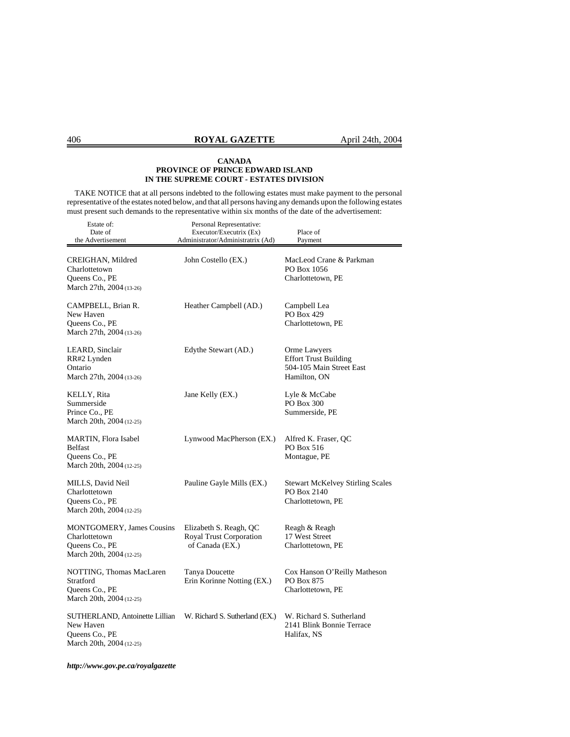TAKE NOTICE that at all persons indebted to the following estates must make payment to the personal representative of the estates noted below, and that all persons having any demands upon the following estates must present such demands to the representative within six months of the date of the advertisement:

| Estate of:                                                                                      | Personal Representative:                                             |                                                                                          |
|-------------------------------------------------------------------------------------------------|----------------------------------------------------------------------|------------------------------------------------------------------------------------------|
| Date of<br>the Advertisement                                                                    | Executor/Executrix (Ex)<br>Administrator/Administratrix (Ad)         | Place of<br>Payment                                                                      |
|                                                                                                 |                                                                      |                                                                                          |
| CREIGHAN, Mildred<br>Charlottetown<br>Queens Co., PE<br>March 27th, 2004 (13-26)                | John Costello (EX.)                                                  | MacLeod Crane & Parkman<br>PO Box 1056<br>Charlottetown, PE                              |
| CAMPBELL, Brian R.<br>New Haven<br>Queens Co., PE<br>March 27th, 2004 (13-26)                   | Heather Campbell (AD.)                                               | Campbell Lea<br>PO Box 429<br>Charlottetown, PE                                          |
| LEARD, Sinclair<br>RR#2 Lynden<br>Ontario<br>March 27th, 2004 (13-26)                           | Edythe Stewart (AD.)                                                 | Orme Lawyers<br><b>Effort Trust Building</b><br>504-105 Main Street East<br>Hamilton, ON |
| KELLY, Rita<br>Summerside<br>Prince Co., PE<br>March 20th, 2004 (12-25)                         | Jane Kelly (EX.)                                                     | Lyle & McCabe<br>PO Box 300<br>Summerside, PE                                            |
| MARTIN, Flora Isabel<br><b>Belfast</b><br>Queens Co., PE<br>March 20th, 2004 (12-25)            | Lynwood MacPherson (EX.)                                             | Alfred K. Fraser, QC<br>PO Box 516<br>Montague, PE                                       |
| MILLS, David Neil<br>Charlottetown<br>Queens Co., PE<br>March 20th, 2004 (12-25)                | Pauline Gayle Mills (EX.)                                            | <b>Stewart McKelvey Stirling Scales</b><br>PO Box 2140<br>Charlottetown, PE              |
| <b>MONTGOMERY, James Cousins</b><br>Charlottetown<br>Queens Co., PE<br>March 20th, 2004 (12-25) | Elizabeth S. Reagh, QC<br>Royal Trust Corporation<br>of Canada (EX.) | Reagh & Reagh<br>17 West Street<br>Charlottetown, PE                                     |
| NOTTING, Thomas MacLaren<br>Stratford<br>Queens Co., PE<br>March 20th, 2004 (12-25)             | Tanya Doucette<br>Erin Korinne Notting (EX.)                         | Cox Hanson O'Reilly Matheson<br>PO Box 875<br>Charlottetown, PE                          |
| SUTHERLAND, Antoinette Lillian<br>New Haven<br>Queens Co., PE<br>March 20th, 2004 (12-25)       | W. Richard S. Sutherland (EX.)                                       | W. Richard S. Sutherland<br>2141 Blink Bonnie Terrace<br>Halifax, NS                     |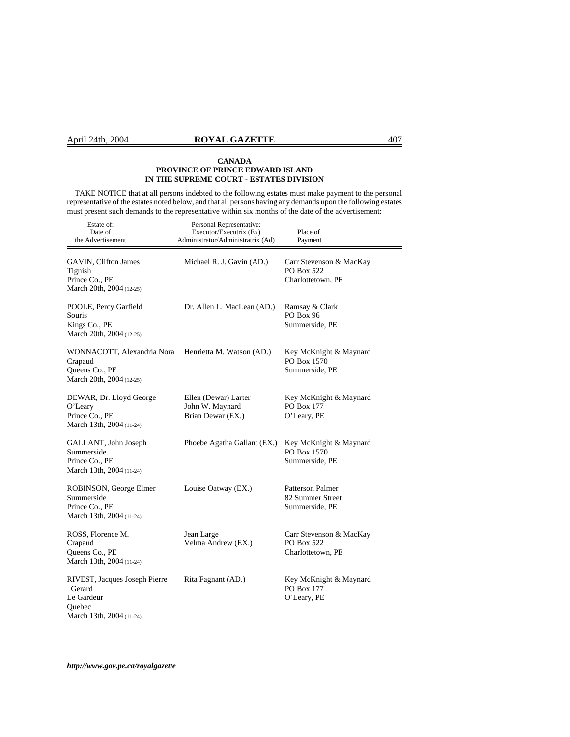# April 24th, 2004 **ROYAL GAZETTE** 407

## **CANADA PROVINCE OF PRINCE EDWARD ISLAND IN THE SUPREME COURT - ESTATES DIVISION**

 TAKE NOTICE that at all persons indebted to the following estates must make payment to the personal representative of the estates noted below, and that all persons having any demands upon the following estates must present such demands to the representative within six months of the date of the advertisement:

| Estate of:<br>Date of<br>the Advertisement                                                  | Personal Representative:<br>Executor/Executrix (Ex)<br>Administrator/Administratrix (Ad) | Place of<br>Payment                                               |
|---------------------------------------------------------------------------------------------|------------------------------------------------------------------------------------------|-------------------------------------------------------------------|
| <b>GAVIN, Clifton James</b><br>Tignish<br>Prince Co., PE<br>March 20th, 2004 (12-25)        | Michael R. J. Gavin (AD.)                                                                | Carr Stevenson & MacKay<br><b>PO Box 522</b><br>Charlottetown, PE |
| POOLE, Percy Garfield<br>Souris<br>Kings Co., PE<br>March 20th, 2004 (12-25)                | Dr. Allen L. MacLean (AD.)                                                               | Ramsay & Clark<br>PO Box 96<br>Summerside, PE                     |
| WONNACOTT, Alexandria Nora<br>Crapaud<br>Queens Co., PE<br>March 20th, 2004 (12-25)         | Henrietta M. Watson (AD.)                                                                | Key McKnight & Maynard<br>PO Box 1570<br>Summerside, PE           |
| DEWAR, Dr. Lloyd George<br>O'Leary<br>Prince Co., PE<br>March 13th, 2004 (11-24)            | Ellen (Dewar) Larter<br>John W. Maynard<br>Brian Dewar (EX.)                             | Key McKnight & Maynard<br>PO Box 177<br>O'Leary, PE               |
| GALLANT, John Joseph<br>Summerside<br>Prince Co., PE<br>March 13th, 2004 (11-24)            | Phoebe Agatha Gallant (EX.)                                                              | Key McKnight & Maynard<br>PO Box 1570<br>Summerside, PE           |
| ROBINSON, George Elmer<br>Summerside<br>Prince Co., PE<br>March 13th, 2004 (11-24)          | Louise Oatway (EX.)                                                                      | Patterson Palmer<br>82 Summer Street<br>Summerside, PE            |
| ROSS, Florence M.<br>Crapaud<br>Queens Co., PE<br>March 13th, 2004 (11-24)                  | Jean Large<br>Velma Andrew (EX.)                                                         | Carr Stevenson & MacKay<br>PO Box 522<br>Charlottetown, PE        |
| RIVEST, Jacques Joseph Pierre<br>Gerard<br>Le Gardeur<br>Quebec<br>March 13th, 2004 (11-24) | Rita Fagnant (AD.)                                                                       | Key McKnight & Maynard<br>PO Box 177<br>O'Leary, PE               |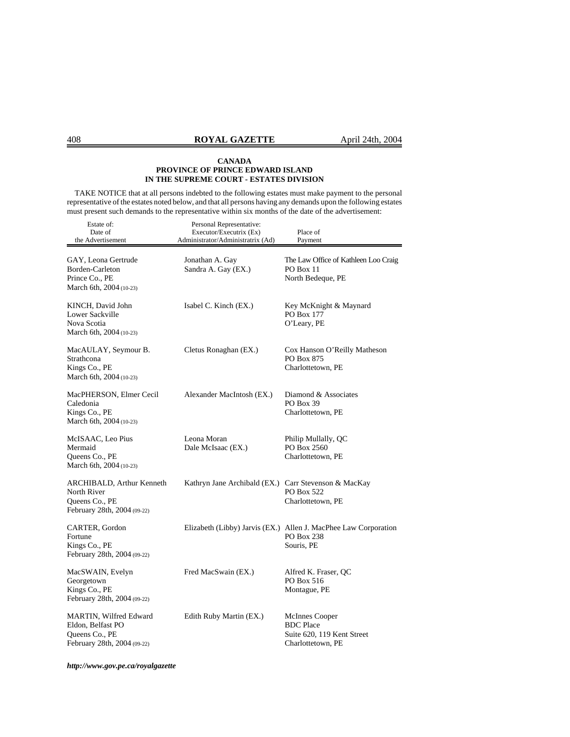TAKE NOTICE that at all persons indebted to the following estates must make payment to the personal representative of the estates noted below, and that all persons having any demands upon the following estates must present such demands to the representative within six months of the date of the advertisement:

| Estate of:<br>Date of<br>the Advertisement                                                   | Personal Representative:<br>Executor/Executrix (Ex)<br>Administrator/Administratrix (Ad) | Place of<br>Payment                                                                         |
|----------------------------------------------------------------------------------------------|------------------------------------------------------------------------------------------|---------------------------------------------------------------------------------------------|
| GAY, Leona Gertrude<br>Borden-Carleton<br>Prince Co., PE<br>March 6th, 2004 (10-23)          | Jonathan A. Gay<br>Sandra A. Gay (EX.)                                                   | The Law Office of Kathleen Loo Craig<br>PO Box 11<br>North Bedeque, PE                      |
| KINCH, David John<br>Lower Sackville<br>Nova Scotia<br>March 6th, 2004 (10-23)               | Isabel C. Kinch (EX.)                                                                    | Key McKnight & Maynard<br>PO Box 177<br>O'Leary, PE                                         |
| MacAULAY, Seymour B.<br>Strathcona<br>Kings Co., PE<br>March 6th, 2004 (10-23)               | Cletus Ronaghan (EX.)                                                                    | Cox Hanson O'Reilly Matheson<br><b>PO Box 875</b><br>Charlottetown, PE                      |
| MacPHERSON, Elmer Cecil<br>Caledonia<br>Kings Co., PE<br>March 6th, 2004 (10-23)             | Alexander MacIntosh (EX.)                                                                | Diamond & Associates<br>PO Box 39<br>Charlottetown, PE                                      |
| McISAAC, Leo Pius<br>Mermaid<br>Queens Co., PE<br>March 6th, 2004 (10-23)                    | Leona Moran<br>Dale McIsaac (EX.)                                                        | Philip Mullally, QC<br>PO Box 2560<br>Charlottetown, PE                                     |
| ARCHIBALD, Arthur Kenneth<br>North River<br>Queens Co., PE<br>February 28th, 2004 (09-22)    | Kathryn Jane Archibald (EX.) Carr Stevenson & MacKay                                     | PO Box 522<br>Charlottetown, PE                                                             |
| CARTER, Gordon<br>Fortune<br>Kings Co., PE<br>February 28th, 2004 (09-22)                    |                                                                                          | Elizabeth (Libby) Jarvis (EX.) Allen J. MacPhee Law Corporation<br>PO Box 238<br>Souris, PE |
| MacSWAIN, Evelyn<br>Georgetown<br>Kings Co., PE<br>February 28th, 2004 (09-22)               | Fred MacSwain (EX.)                                                                      | Alfred K. Fraser, QC<br>PO Box 516<br>Montague, PE                                          |
| MARTIN, Wilfred Edward<br>Eldon, Belfast PO<br>Queens Co., PE<br>February 28th, 2004 (09-22) | Edith Ruby Martin (EX.)                                                                  | McInnes Cooper<br><b>BDC</b> Place<br>Suite 620, 119 Kent Street<br>Charlottetown, PE       |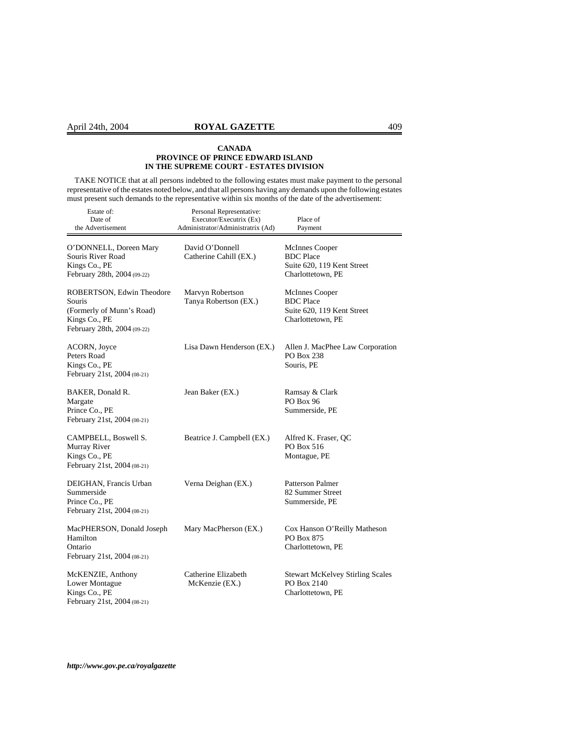TAKE NOTICE that at all persons indebted to the following estates must make payment to the personal representative of the estates noted below, and that all persons having any demands upon the following estates must present such demands to the representative within six months of the date of the advertisement:

| Estate of:<br>Date of<br>the Advertisement                                                                       | Personal Representative:<br>Executor/Executrix (Ex)<br>Administrator/Administratrix (Ad) | Place of<br>Payment                                                                   |
|------------------------------------------------------------------------------------------------------------------|------------------------------------------------------------------------------------------|---------------------------------------------------------------------------------------|
| O'DONNELL, Doreen Mary<br>Souris River Road<br>Kings Co., PE<br>February 28th, 2004 (09-22)                      | David O'Donnell<br>Catherine Cahill (EX.)                                                | McInnes Cooper<br><b>BDC</b> Place<br>Suite 620, 119 Kent Street<br>Charlottetown, PE |
| ROBERTSON, Edwin Theodore<br>Souris<br>(Formerly of Munn's Road)<br>Kings Co., PE<br>February 28th, 2004 (09-22) | Marvyn Robertson<br>Tanya Robertson (EX.)                                                | McInnes Cooper<br><b>BDC</b> Place<br>Suite 620, 119 Kent Street<br>Charlottetown, PE |
| ACORN, Joyce<br>Peters Road<br>Kings Co., PE<br>February 21st, 2004 (08-21)                                      | Lisa Dawn Henderson (EX.)                                                                | Allen J. MacPhee Law Corporation<br>PO Box 238<br>Souris, PE                          |
| BAKER, Donald R.<br>Margate<br>Prince Co., PE<br>February 21st, 2004 (08-21)                                     | Jean Baker (EX.)                                                                         | Ramsay & Clark<br><b>PO Box 96</b><br>Summerside, PE                                  |
| CAMPBELL, Boswell S.<br>Murray River<br>Kings Co., PE<br>February 21st, 2004 (08-21)                             | Beatrice J. Campbell (EX.)                                                               | Alfred K. Fraser, QC<br>PO Box 516<br>Montague, PE                                    |
| DEIGHAN, Francis Urban<br>Summerside<br>Prince Co., PE<br>February 21st, 2004 (08-21)                            | Verna Deighan (EX.)                                                                      | <b>Patterson Palmer</b><br>82 Summer Street<br>Summerside, PE                         |
| MacPHERSON, Donald Joseph<br>Hamilton<br>Ontario<br>February 21st, 2004 (08-21)                                  | Mary MacPherson (EX.)                                                                    | Cox Hanson O'Reilly Matheson<br>PO Box 875<br>Charlottetown, PE                       |
| McKENZIE, Anthony<br>Lower Montague<br>Kings Co., PE<br>February 21st, 2004 (08-21)                              | Catherine Elizabeth<br>McKenzie (EX.)                                                    | <b>Stewart McKelvey Stirling Scales</b><br>PO Box 2140<br>Charlottetown, PE           |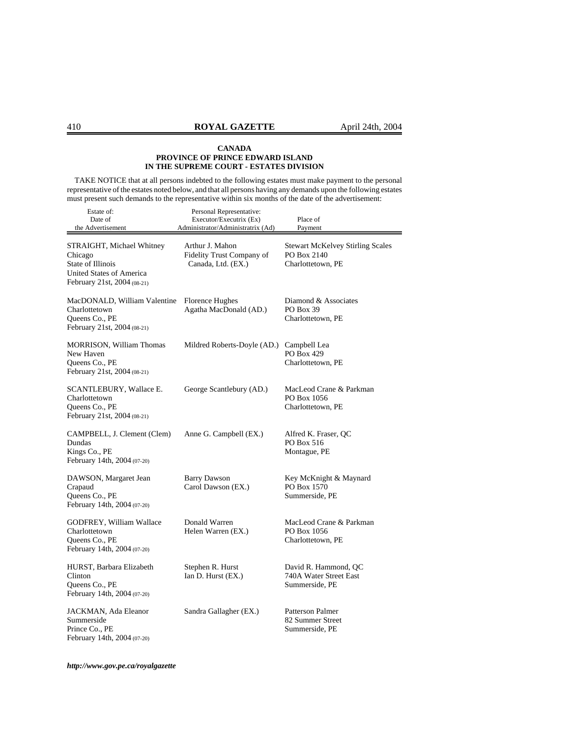TAKE NOTICE that at all persons indebted to the following estates must make payment to the personal representative of the estates noted below, and that all persons having any demands upon the following estates must present such demands to the representative within six months of the date of the advertisement:

| Estate of:<br>Date of<br>the Advertisement                                                                           | Personal Representative:<br>Executor/Executrix (Ex)<br>Administrator/Administratrix (Ad) | Place of<br>Payment                                                         |
|----------------------------------------------------------------------------------------------------------------------|------------------------------------------------------------------------------------------|-----------------------------------------------------------------------------|
| STRAIGHT, Michael Whitney<br>Chicago<br>State of Illinois<br>United States of America<br>February 21st, 2004 (08-21) | Arthur J. Mahon<br>Fidelity Trust Company of<br>Canada, Ltd. (EX.)                       | <b>Stewart McKelvey Stirling Scales</b><br>PO Box 2140<br>Charlottetown, PE |
| MacDONALD, William Valentine<br>Charlottetown<br>Queens Co., PE<br>February 21st, 2004 (08-21)                       | Florence Hughes<br>Agatha MacDonald (AD.)                                                | Diamond & Associates<br>PO Box 39<br>Charlottetown, PE                      |
| <b>MORRISON, William Thomas</b><br>New Haven<br>Queens Co., PE<br>February 21st, 2004 (08-21)                        | Mildred Roberts-Doyle (AD.)                                                              | Campbell Lea<br>PO Box 429<br>Charlottetown, PE                             |
| SCANTLEBURY, Wallace E.<br>Charlottetown<br>Queens Co., PE<br>February 21st, 2004 (08-21)                            | George Scantlebury (AD.)                                                                 | MacLeod Crane & Parkman<br>PO Box 1056<br>Charlottetown, PE                 |
| CAMPBELL, J. Clement (Clem)<br>Dundas<br>Kings Co., PE<br>February 14th, 2004 (07-20)                                | Anne G. Campbell (EX.)                                                                   | Alfred K. Fraser, QC<br>PO Box 516<br>Montague, PE                          |
| DAWSON, Margaret Jean<br>Crapaud<br>Queens Co., PE<br>February 14th, 2004 (07-20)                                    | <b>Barry Dawson</b><br>Carol Dawson (EX.)                                                | Key McKnight & Maynard<br>PO Box 1570<br>Summerside, PE                     |
| <b>GODFREY, William Wallace</b><br>Charlottetown<br>Queens Co., PE<br>February 14th, 2004 (07-20)                    | Donald Warren<br>Helen Warren (EX.)                                                      | MacLeod Crane & Parkman<br>PO Box 1056<br>Charlottetown, PE                 |
| HURST, Barbara Elizabeth<br>Clinton<br>Queens Co., PE<br>February 14th, 2004 (07-20)                                 | Stephen R. Hurst<br>Ian D. Hurst (EX.)                                                   | David R. Hammond, QC<br>740A Water Street East<br>Summerside, PE            |
| JACKMAN, Ada Eleanor<br>Summerside<br>Prince Co., PE<br>February 14th, 2004 (07-20)                                  | Sandra Gallagher (EX.)                                                                   | Patterson Palmer<br>82 Summer Street<br>Summerside, PE                      |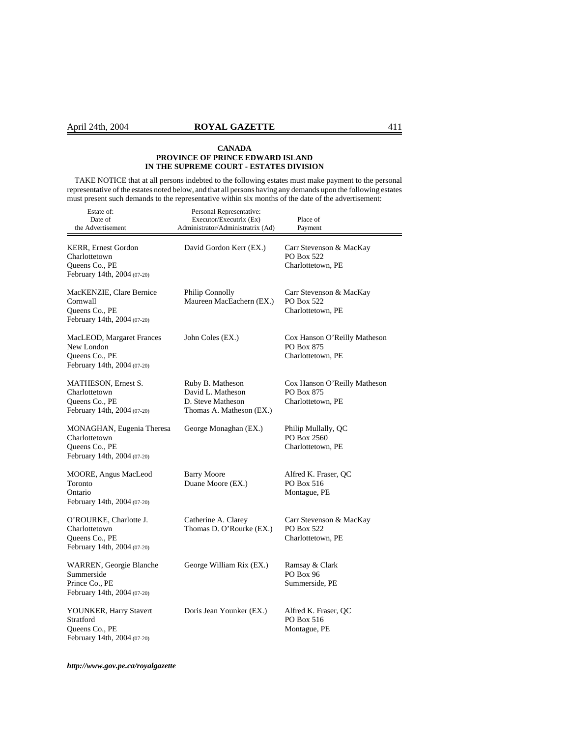TAKE NOTICE that at all persons indebted to the following estates must make payment to the personal representative of the estates noted below, and that all persons having any demands upon the following estates must present such demands to the representative within six months of the date of the advertisement:

| Estate of:<br>Date of<br>the Advertisement                                                   | Personal Representative:<br>Executor/Executrix (Ex)<br>Administrator/Administratrix (Ad) | Place of<br>Payment                                             |
|----------------------------------------------------------------------------------------------|------------------------------------------------------------------------------------------|-----------------------------------------------------------------|
| <b>KERR, Ernest Gordon</b><br>Charlottetown<br>Queens Co., PE<br>February 14th, 2004 (07-20) | David Gordon Kerr (EX.)                                                                  | Carr Stevenson & MacKay<br>PO Box 522<br>Charlottetown, PE      |
| MacKENZIE, Clare Bernice<br>Cornwall<br>Queens Co., PE<br>February 14th, 2004 (07-20)        | <b>Philip Connolly</b><br>Maureen MacEachern (EX.)                                       | Carr Stevenson & MacKay<br>PO Box 522<br>Charlottetown, PE      |
| MacLEOD, Margaret Frances<br>New London<br>Queens Co., PE<br>February 14th, 2004 (07-20)     | John Coles (EX.)                                                                         | Cox Hanson O'Reilly Matheson<br>PO Box 875<br>Charlottetown, PE |
| MATHESON, Ernest S.<br>Charlottetown<br>Queens Co., PE<br>February 14th, 2004 (07-20)        | Ruby B. Matheson<br>David L. Matheson<br>D. Steve Matheson<br>Thomas A. Matheson (EX.)   | Cox Hanson O'Reilly Matheson<br>PO Box 875<br>Charlottetown, PE |
| MONAGHAN, Eugenia Theresa<br>Charlottetown<br>Queens Co., PE<br>February 14th, 2004 (07-20)  | George Monaghan (EX.)                                                                    | Philip Mullally, QC<br>PO Box 2560<br>Charlottetown, PE         |
| MOORE, Angus MacLeod<br>Toronto<br>Ontario<br>February 14th, 2004 (07-20)                    | <b>Barry Moore</b><br>Duane Moore (EX.)                                                  | Alfred K. Fraser, QC<br>PO Box 516<br>Montague, PE              |
| O'ROURKE, Charlotte J.<br>Charlottetown<br>Queens Co., PE<br>February 14th, 2004 (07-20)     | Catherine A. Clarey<br>Thomas D. O'Rourke (EX.)                                          | Carr Stevenson & MacKay<br>PO Box 522<br>Charlottetown, PE      |
| WARREN, Georgie Blanche<br>Summerside<br>Prince Co., PE<br>February 14th, 2004 (07-20)       | George William Rix (EX.)                                                                 | Ramsay & Clark<br>PO Box 96<br>Summerside, PE                   |
| YOUNKER, Harry Stavert<br>Stratford<br>Queens Co., PE<br>February 14th, 2004 (07-20)         | Doris Jean Younker (EX.)                                                                 | Alfred K. Fraser, QC<br>PO Box 516<br>Montague, PE              |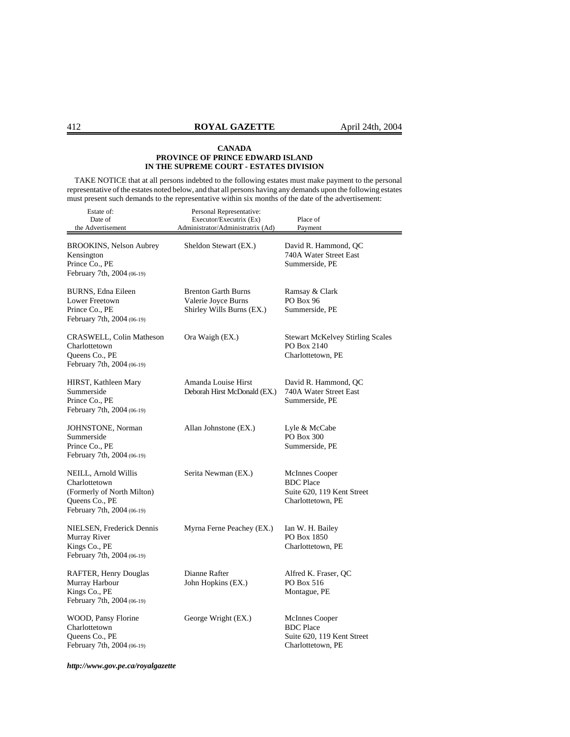TAKE NOTICE that at all persons indebted to the following estates must make payment to the personal representative of the estates noted below, and that all persons having any demands upon the following estates must present such demands to the representative within six months of the date of the advertisement:

| Estate of:<br>Date of<br>the Advertisement                                                                          | Personal Representative:<br>Executor/Executrix (Ex)<br>Administrator/Administratrix (Ad) | Place of<br>Payment                                                                          |
|---------------------------------------------------------------------------------------------------------------------|------------------------------------------------------------------------------------------|----------------------------------------------------------------------------------------------|
| <b>BROOKINS, Nelson Aubrey</b><br>Kensington<br>Prince Co., PE<br>February 7th, 2004 (06-19)                        | Sheldon Stewart (EX.)                                                                    | David R. Hammond, QC<br>740A Water Street East<br>Summerside, PE                             |
| BURNS, Edna Eileen<br>Lower Freetown<br>Prince Co., PE<br>February 7th, 2004 (06-19)                                | <b>Brenton Garth Burns</b><br>Valerie Joyce Burns<br>Shirley Wills Burns (EX.)           | Ramsay & Clark<br>PO Box 96<br>Summerside, PE                                                |
| CRASWELL, Colin Matheson<br>Charlottetown<br>Queens Co., PE<br>February 7th, 2004 (06-19)                           | Ora Waigh (EX.)                                                                          | <b>Stewart McKelvey Stirling Scales</b><br>PO Box 2140<br>Charlottetown, PE                  |
| HIRST, Kathleen Mary<br>Summerside<br>Prince Co., PE<br>February 7th, 2004 (06-19)                                  | Amanda Louise Hirst<br>Deborah Hirst McDonald (EX.)                                      | David R. Hammond, QC<br>740A Water Street East<br>Summerside, PE                             |
| JOHNSTONE, Norman<br>Summerside<br>Prince Co., PE<br>February 7th, 2004 (06-19)                                     | Allan Johnstone (EX.)                                                                    | Lyle & McCabe<br>PO Box 300<br>Summerside, PE                                                |
| NEILL, Arnold Willis<br>Charlottetown<br>(Formerly of North Milton)<br>Queens Co., PE<br>February 7th, 2004 (06-19) | Serita Newman (EX.)                                                                      | McInnes Cooper<br><b>BDC</b> Place<br>Suite 620, 119 Kent Street<br>Charlottetown, PE        |
| NIELSEN, Frederick Dennis<br>Murray River<br>Kings Co., PE<br>February 7th, 2004 (06-19)                            | Myrna Ferne Peachey (EX.)                                                                | Ian W. H. Bailey<br>PO Box 1850<br>Charlottetown, PE                                         |
| RAFTER, Henry Douglas<br>Murray Harbour<br>Kings Co., PE<br>February 7th, 2004 (06-19)                              | Dianne Rafter<br>John Hopkins (EX.)                                                      | Alfred K. Fraser, QC<br>PO Box 516<br>Montague, PE                                           |
| WOOD, Pansy Florine<br>Charlottetown<br>Queens Co., PE<br>February 7th, 2004 (06-19)                                | George Wright (EX.)                                                                      | <b>McInnes Cooper</b><br><b>BDC</b> Place<br>Suite 620, 119 Kent Street<br>Charlottetown, PE |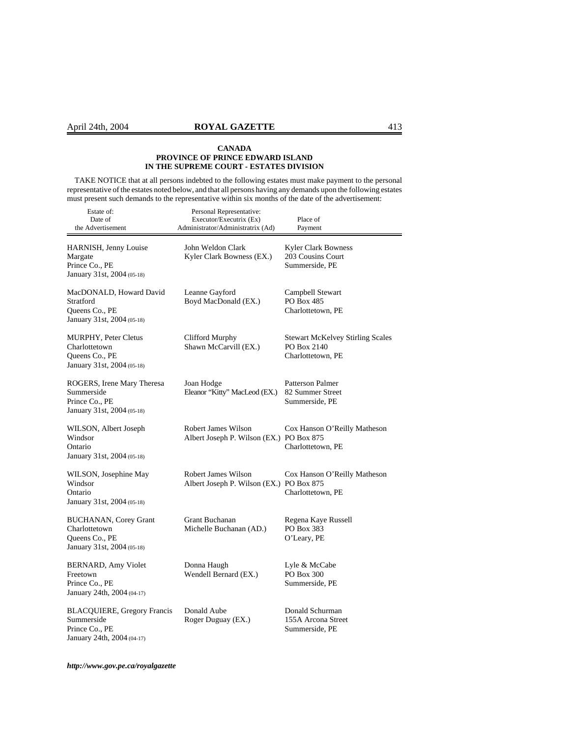TAKE NOTICE that at all persons indebted to the following estates must make payment to the personal representative of the estates noted below, and that all persons having any demands upon the following estates must present such demands to the representative within six months of the date of the advertisement:

| Estate of:<br>Date of<br>the Advertisement                                                       | Personal Representative:<br>Executor/Executrix (Ex)<br>Administrator/Administratrix (Ad) | Place of<br>Payment                                                         |
|--------------------------------------------------------------------------------------------------|------------------------------------------------------------------------------------------|-----------------------------------------------------------------------------|
| HARNISH, Jenny Louise<br>Margate<br>Prince Co., PE<br>January 31st, 2004 (05-18)                 | John Weldon Clark<br>Kyler Clark Bowness (EX.)                                           | <b>Kyler Clark Bowness</b><br>203 Cousins Court<br>Summerside, PE           |
| MacDONALD, Howard David<br>Stratford<br>Queens Co., PE<br>January 31st, 2004 (05-18)             | Leanne Gayford<br>Boyd MacDonald (EX.)                                                   | Campbell Stewart<br>PO Box 485<br>Charlottetown, PE                         |
| <b>MURPHY, Peter Cletus</b><br>Charlottetown<br>Queens Co., PE<br>January 31st, 2004 (05-18)     | Clifford Murphy<br>Shawn McCarvill (EX.)                                                 | <b>Stewart McKelvey Stirling Scales</b><br>PO Box 2140<br>Charlottetown, PE |
| ROGERS, Irene Mary Theresa<br>Summerside<br>Prince Co., PE<br>January 31st, 2004 (05-18)         | Joan Hodge<br>Eleanor "Kitty" MacLeod (EX.)                                              | Patterson Palmer<br>82 Summer Street<br>Summerside, PE                      |
| WILSON, Albert Joseph<br>Windsor<br>Ontario<br>January 31st, 2004 (05-18)                        | Robert James Wilson<br>Albert Joseph P. Wilson (EX.) PO Box 875                          | Cox Hanson O'Reilly Matheson<br>Charlottetown, PE                           |
| WILSON, Josephine May<br>Windsor<br>Ontario<br>January 31st, 2004 (05-18)                        | <b>Robert James Wilson</b><br>Albert Joseph P. Wilson (EX.) PO Box 875                   | Cox Hanson O'Reilly Matheson<br>Charlottetown, PE                           |
| <b>BUCHANAN, Corey Grant</b><br>Charlottetown<br>Queens Co., PE<br>January 31st, 2004 (05-18)    | Grant Buchanan<br>Michelle Buchanan (AD.)                                                | Regena Kaye Russell<br>PO Box 383<br>O'Leary, PE                            |
| BERNARD, Amy Violet<br>Freetown<br>Prince Co., PE<br>January 24th, 2004 (04-17)                  | Donna Haugh<br>Wendell Bernard (EX.)                                                     | Lyle & McCabe<br>PO Box 300<br>Summerside, PE                               |
| <b>BLACQUIERE, Gregory Francis</b><br>Summerside<br>Prince Co., PE<br>January 24th, 2004 (04-17) | Donald Aube<br>Roger Duguay (EX.)                                                        | Donald Schurman<br>155A Arcona Street<br>Summerside, PE                     |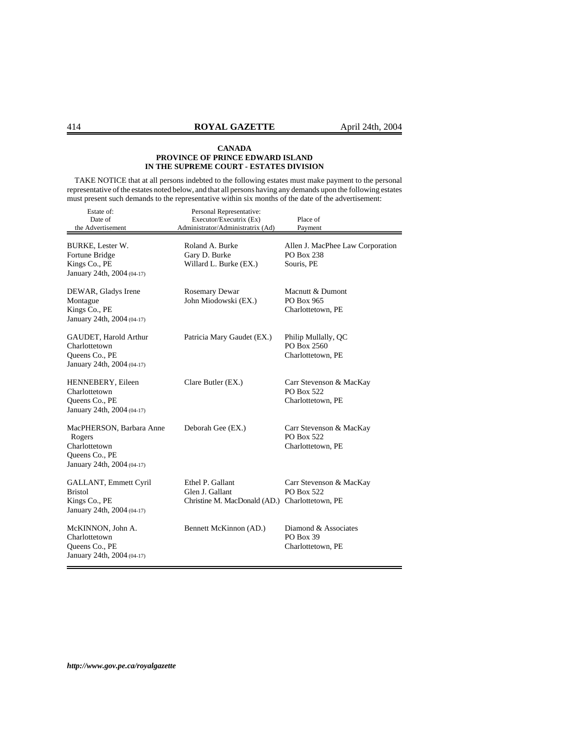TAKE NOTICE that at all persons indebted to the following estates must make payment to the personal representative of the estates noted below, and that all persons having any demands upon the following estates must present such demands to the representative within six months of the date of the advertisement:

| Estate of:<br>Date of<br>the Advertisement                                                          | Personal Representative:<br>Executor/Executrix (Ex)<br>Administrator/Administratrix (Ad) | Place of<br>Payment                                          |
|-----------------------------------------------------------------------------------------------------|------------------------------------------------------------------------------------------|--------------------------------------------------------------|
| BURKE, Lester W.<br>Fortune Bridge<br>Kings Co., PE<br>January 24th, 2004 (04-17)                   | Roland A. Burke<br>Gary D. Burke<br>Willard L. Burke (EX.)                               | Allen J. MacPhee Law Corporation<br>PO Box 238<br>Souris, PE |
| DEWAR, Gladys Irene<br>Montague<br>Kings Co., PE<br>January 24th, 2004 (04-17)                      | <b>Rosemary Dewar</b><br>John Miodowski (EX.)                                            | Macnutt & Dumont<br>PO Box 965<br>Charlottetown, PE          |
| GAUDET, Harold Arthur<br>Charlottetown<br>Queens Co., PE<br>January 24th, 2004 (04-17)              | Patricia Mary Gaudet (EX.)                                                               | Philip Mullally, QC<br>PO Box 2560<br>Charlottetown, PE      |
| HENNEBERY, Eileen<br>Charlottetown<br>Queens Co., PE<br>January 24th, 2004 (04-17)                  | Clare Butler (EX.)                                                                       | Carr Stevenson & MacKay<br>PO Box 522<br>Charlottetown, PE   |
| MacPHERSON, Barbara Anne<br>Rogers<br>Charlottetown<br>Queens Co., PE<br>January 24th, 2004 (04-17) | Deborah Gee (EX.)                                                                        | Carr Stevenson & MacKay<br>PO Box 522<br>Charlottetown, PE   |
| GALLANT, Emmett Cyril<br><b>Bristol</b><br>Kings Co., PE<br>January 24th, 2004 (04-17)              | Ethel P. Gallant<br>Glen J. Gallant<br>Christine M. MacDonald (AD.) Charlottetown, PE    | Carr Stevenson & MacKay<br>PO Box 522                        |
| McKINNON, John A.<br>Charlottetown<br>Queens Co., PE<br>January 24th, 2004 (04-17)                  | Bennett McKinnon (AD.)                                                                   | Diamond & Associates<br>PO Box 39<br>Charlottetown, PE       |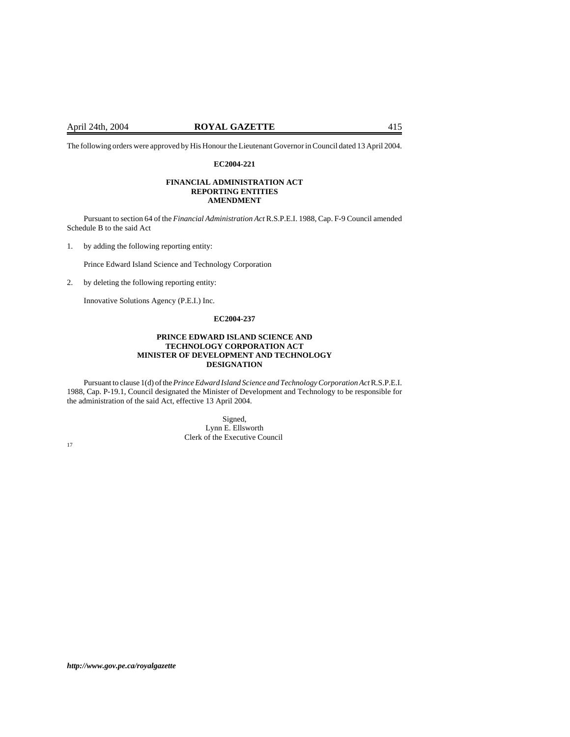The following orders were approved by His Honour the Lieutenant Governor in Council dated 13 April 2004.

## **EC2004-221**

## **FINANCIAL ADMINISTRATION ACT REPORTING ENTITIES AMENDMENT**

Pursuant to section 64 of the *Financial Administration Act* R.S.P.E.I. 1988, Cap. F-9 Council amended Schedule B to the said Act

1. by adding the following reporting entity:

Prince Edward Island Science and Technology Corporation

2. by deleting the following reporting entity:

Innovative Solutions Agency (P.E.I.) Inc.

## **EC2004-237**

## **PRINCE EDWARD ISLAND SCIENCE AND TECHNOLOGY CORPORATION ACT MINISTER OF DEVELOPMENT AND TECHNOLOGY DESIGNATION**

Pursuant to clause 1(d) of the *Prince Edward Island Science and Technology Corporation Act* R.S.P.E.I. 1988, Cap. P-19.1, Council designated the Minister of Development and Technology to be responsible for the administration of the said Act, effective 13 April 2004.

Signed, Lynn E. Ellsworth Clerk of the Executive Council 17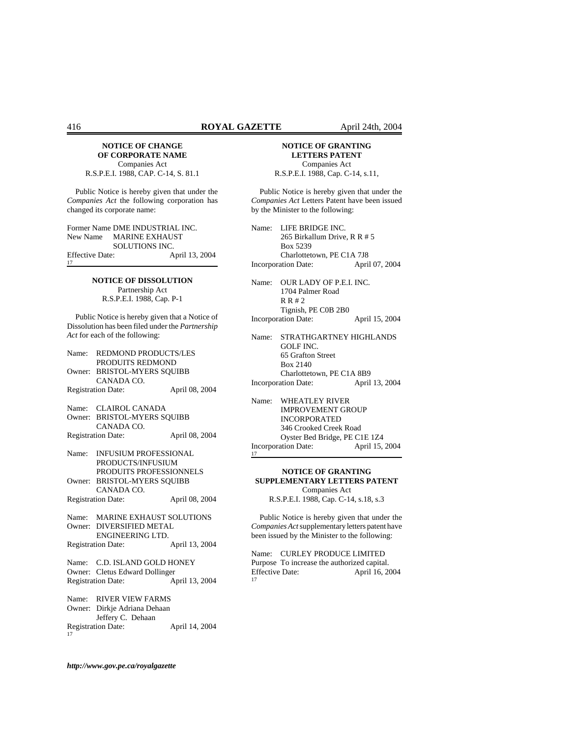#### **NOTICE OF CHANGE OF CORPORATE NAME** Companies Act

R.S.P.E.I. 1988, CAP. C-14, S. 81.1

Public Notice is hereby given that under the *Companies Act* the following corporation has changed its corporate name:

Former Name DME INDUSTRIAL INC. New Name MARINE EXHAUST SOLUTIONS INC. Effective Date: April 13, 2004

> **NOTICE OF DISSOLUTION** Partnership Act R.S.P.E.I. 1988, Cap. P-1

Public Notice is hereby given that a Notice of Dissolution has been filed under the *Partnership Act* for each of the following:

|    | Name: REDMOND PRODUCTS/LES     |                |
|----|--------------------------------|----------------|
|    | PRODUITS REDMOND               |                |
|    | Owner: BRISTOL-MYERS SOUIBB    |                |
|    | CANADA CO.                     |                |
|    | <b>Registration Date:</b>      | April 08, 2004 |
|    |                                |                |
|    | Name: CLAIROL CANADA           |                |
|    | Owner: BRISTOL-MYERS SQUIBB    |                |
|    | CANADA CO.                     |                |
|    | <b>Registration Date:</b>      | April 08, 2004 |
|    |                                |                |
|    | Name: INFUSIUM PROFESSIONAL    |                |
|    | PRODUCTS/INFUSIUM              |                |
|    | PRODUITS PROFESSIONNELS        |                |
|    | Owner: BRISTOL-MYERS SOUIBB    |                |
|    | CANADA CO.                     |                |
|    | <b>Registration Date:</b>      | April 08, 2004 |
|    | Name: MARINE EXHAUST SOLUTIONS |                |
|    | Owner: DIVERSIFIED METAL       |                |
|    | ENGINEERING LTD.               |                |
|    | <b>Registration Date:</b>      | April 13, 2004 |
|    |                                |                |
|    | Name: C.D. ISLAND GOLD HONEY   |                |
|    | Owner: Cletus Edward Dollinger |                |
|    | <b>Registration Date:</b>      | April 13, 2004 |
|    |                                |                |
|    | Name: RIVER VIEW FARMS         |                |
|    | Owner: Dirkje Adriana Dehaan   |                |
|    | Jeffery C. Dehaan              |                |
| 17 | <b>Registration Date:</b>      | April 14, 2004 |

## **NOTICE OF GRANTING LETTERS PATENT** Companies Act

R.S.P.E.I. 1988, Cap. C-14, s.11,

Public Notice is hereby given that under the *Companies Act* Letters Patent have been issued by the Minister to the following:

Name: LIFE BRIDGE INC. 265 Birkallum Drive, R R # 5 Box 5239 Charlottetown, PE C1A 7J8 Incorporation Date: April 07, 2004

Name: OUR LADY OF P.E.I. INC. 1704 Palmer Road R R # 2 Tignish, PE C0B 2B0 Incorporation Date: April 15, 2004

Name: STRATHGARTNEY HIGHLANDS GOLF INC. 65 Grafton Street Box 2140 Charlottetown, PE C1A 8B9 Incorporation Date: April 13, 2004

Name: WHEATLEY RIVER IMPROVEMENT GROUP INCORPORATED 346 Crooked Creek Road Oyster Bed Bridge, PE C1E 1Z4 Incorporation Date: April 15, 2004

17

## **NOTICE OF GRANTING SUPPLEMENTARY LETTERS PATENT** Companies Act

R.S.P.E.I. 1988, Cap. C-14, s.18, s.3

Public Notice is hereby given that under the *Companies Act* supplementary letters patent have been issued by the Minister to the following:

Name: CURLEY PRODUCE LIMITED Purpose To increase the authorized capital.<br>Effective Date: April 16, 20 April 16, 2004 17

17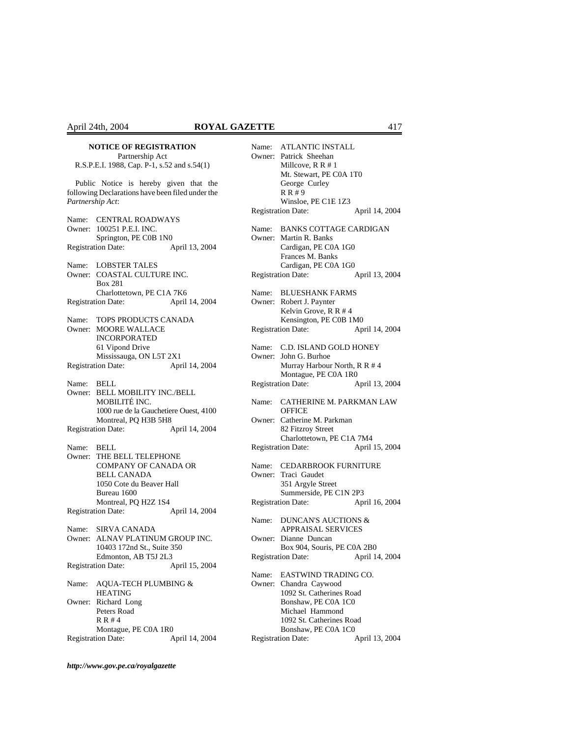## **NOTICE OF REGISTRATION**

Partnership Act R.S.P.E.I. 1988, Cap. P-1, s.52 and s.54(1)

Public Notice is hereby given that the following Declarations have been filed under the *Partnership Act*:

Name: CENTRAL ROADWAYS Owner: 100251 P.E.I. INC. Springton, PE C0B 1N0 Registration Date: April 13, 2004 Name: LOBSTER TALES Owner: COASTAL CULTURE INC. Box 281 Charlottetown, PE C1A 7K6 Registration Date: April 14, 2004 Name: TOPS PRODUCTS CANADA Owner: MOORE WALLACE INCORPORATED 61 Vipond Drive Mississauga, ON L5T 2X1 Registration Date: April 14, 2004 Name: BELL Owner: BELL MOBILITY INC./BELL MOBILITÉ INC. 1000 rue de la Gauchetiere Ouest, 4100 Montreal, PQ H3B 5H8 Registration Date: April 14, 2004 Name: BELL Owner: THE BELL TELEPHONE COMPANY OF CANADA OR BELL CANADA 1050 Cote du Beaver Hall Bureau 1600 Montreal, PQ H2Z 1S4 Registration Date: April 14, 2004 Name: SIRVA CANADA Owner: ALNAV PLATINUM GROUP INC. 10403 172nd St., Suite 350 Edmonton, AB T5J 2L3 Registration Date: April 15, 2004 Name: AQUA-TECH PLUMBING & HEATING Owner: Richard Long Peters Road R R # 4 Montague, PE C0A 1R0 Registration Date: April 14, 2004

| Name:           | <b>ATLANTIC INSTALL</b><br>Owner: Patrick Sheehan<br>Millcove, $R R # 1$<br>Mt. Stewart, PE C0A 1T0<br>George Curley<br>R R # 9                                                                     |                |
|-----------------|-----------------------------------------------------------------------------------------------------------------------------------------------------------------------------------------------------|----------------|
|                 | Winsloe, PE C1E 1Z3<br><b>Registration Date:</b>                                                                                                                                                    | April 14, 2004 |
| Name:<br>Owner: | <b>BANKS COTTAGE CARDIGAN</b><br>Martin R. Banks<br>Cardigan, PE C0A 1G0<br>Frances M. Banks<br>Cardigan, PE C0A 1G0                                                                                |                |
|                 | <b>Registration Date:</b>                                                                                                                                                                           | April 13, 2004 |
| Name:           | <b>BLUESHANK FARMS</b><br>Owner: Robert J. Paynter<br>Kelvin Grove, R R # 4<br>Kensington, PE C0B 1M0<br><b>Registration Date:</b>                                                                  | April 14, 2004 |
|                 |                                                                                                                                                                                                     |                |
| Owner:          | Name: C.D. ISLAND GOLD HONEY<br>John G. Burhoe<br>Murray Harbour North, R R # 4<br>Montague, PE C0A 1R0                                                                                             |                |
|                 | <b>Registration Date:</b>                                                                                                                                                                           | April 13, 2004 |
| Name:           | CATHERINE M. PARKMAN LAW<br><b>OFFICE</b>                                                                                                                                                           |                |
|                 | Owner: Catherine M. Parkman<br>82 Fitzroy Street<br>Charlottetown, PE C1A 7M4                                                                                                                       |                |
|                 | <b>Registration Date:</b>                                                                                                                                                                           | April 15, 2004 |
| Name:           | <b>CEDARBROOK FURNITURE</b>                                                                                                                                                                         |                |
| Owner:          | Traci Gaudet                                                                                                                                                                                        |                |
|                 | 351 Argyle Street<br>Summerside, PE C1N 2P3                                                                                                                                                         |                |
|                 | <b>Registration Date:</b>                                                                                                                                                                           | April 16, 2004 |
| Name:           | <b>DUNCAN'S AUCTIONS &amp;</b><br><b>APPRAISAL SERVICES</b>                                                                                                                                         |                |
| Owner:          | Dianne Duncan                                                                                                                                                                                       |                |
|                 | Box 904, Souris, PE C0A 2B0<br>Registration Date: April 14, 2004                                                                                                                                    |                |
|                 | Name: EASTWIND TRADING CO.<br>Owner: Chandra Caywood<br>1092 St. Catherines Road<br>Bonshaw, PE C0A 1C0<br>Michael Hammond<br>1092 St. Catherines Road<br>Bonshaw, PE C0A 1C0<br>Registration Date: | April 13, 2004 |
|                 |                                                                                                                                                                                                     |                |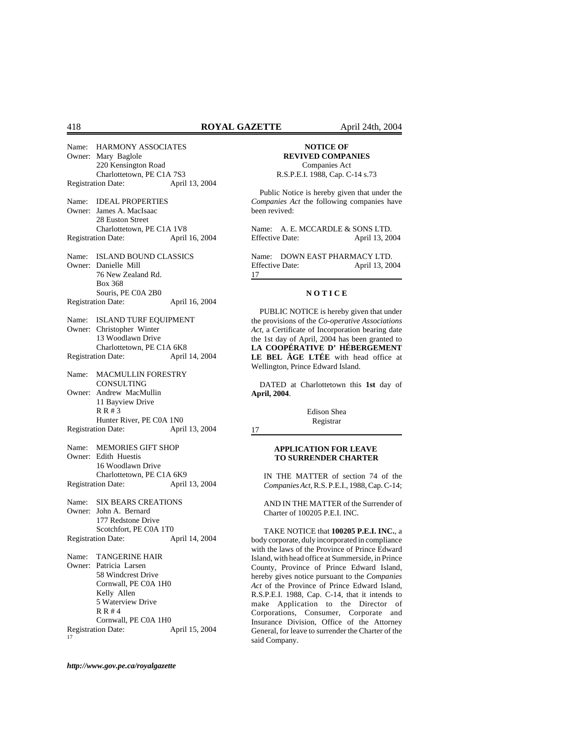Name: HARMONY ASSOCIATES Owner: Mary Baglole 220 Kensington Road Charlottetown, PE C1A 7S3 Registration Date: April 13, 2004 Name: IDEAL PROPERTIES Owner: James A. MacIsaac 28 Euston Street Charlottetown, PE C1A 1V8 Registration Date: April 16, 2004 Name: ISLAND BOUND CLASSICS Owner: Danielle Mill 76 New Zealand Rd. Box 368 Souris, PE C0A 2B0 Registration Date: April 16, 2004 Name: ISLAND TURF EQUIPMENT Owner: Christopher Winter 13 Woodlawn Drive Charlottetown, PE C1A 6K8 Registration Date: April 14, 2004 Name: MACMULLIN FORESTRY CONSULTING Owner: Andrew MacMullin 11 Bayview Drive R R # 3 Hunter River, PE C0A 1N0 Registration Date: April 13, 2004 Name: MEMORIES GIFT SHOP Owner: Edith Huestis 16 Woodlawn Drive Charlottetown, PE C1A 6K9 Registration Date: April 13, 2004 Name: SIX BEARS CREATIONS Owner: John A. Bernard 177 Redstone Drive Scotchfort, PE C0A 1T0 Registration Date: April 14, 2004 Name: TANGERINE HAIR Owner: Patricia Larsen 58 Windcrest Drive Cornwall, PE C0A 1H0 Kelly Allen 5 Waterview Drive R R # 4 Cornwall, PE C0A 1H0 Registration Date: April 15, 2004 17

## **NOTICE OF REVIVED COMPANIES**

Companies Act R.S.P.E.I. 1988, Cap. C-14 s.73

Public Notice is hereby given that under the *Companies Act* the following companies have been revived:

Name: A. E. MCCARDLE & SONS LTD. Effective Date: April 13, 2004

Name: DOWN EAST PHARMACY LTD. Effective Date: April 13, 2004 17

## **N O T I C E**

PUBLIC NOTICE is hereby given that under the provisions of the *Co-operative Associations Act*, a Certificate of Incorporation bearing date the 1st day of April, 2004 has been granted to **LA COOPÉRATIVE D' HÉBERGEMENT LE BEL ÂGE LTÉE** with head office at Wellington, Prince Edward Island.

DATED at Charlottetown this **1st** day of **April, 2004**.

> Edison Shea Registrar

17

## **APPLICATION FOR LEAVE TO SURRENDER CHARTER**

IN THE MATTER of section 74 of the *Companies Act*, R.S. P.E.I., 1988, Cap. C-14;

AND IN THE MATTER of the Surrender of Charter of 100205 P.E.I. INC.

TAKE NOTICE that **100205 P.E.I. INC.**, a body corporate, duly incorporated in compliance with the laws of the Province of Prince Edward Island, with head office at Summerside, in Prince County, Province of Prince Edward Island, hereby gives notice pursuant to the *Companies Act* of the Province of Prince Edward Island, R.S.P.E.I. 1988, Cap. C-14, that it intends to make Application to the Director of Corporations, Consumer, Corporate and Insurance Division, Office of the Attorney General, for leave to surrender the Charter of the said Company.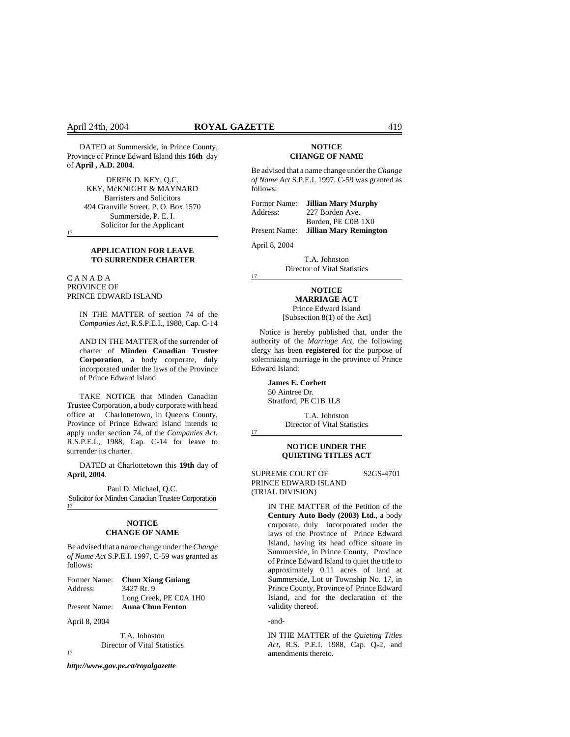DATED at Summerside, in Prince County, Province of Prince Edward Island this **16th** day of **April , A.D. 2004.**

> DEREK D. KEY, Q.C. KEY, McKNIGHT & MAYNARD Barristers and Solicitors 494 Granville Street, P. O. Box 1570 Summerside, P. E. I. Solicitor for the Applicant

17

## **APPLICATION FOR LEAVE TO SURRENDER CHARTER**

C A N A D A PROVINCE OF PRINCE EDWARD ISLAND

> IN THE MATTER of section 74 of the *Companies Act*, R.S.P.E.I., 1988, Cap. C-14

> AND IN THE MATTER of the surrender of charter of **Minden Canadian Trustee Corporation**, a body corporate, duly incorporated under the laws of the Province of Prince Edward Island

TAKE NOTICE that Minden Canadian Trustee Corporation, a body corporate with head office at Charlottetown, in Queens County, Province of Prince Edward Island intends to apply under section 74, of the *Companies Act*, R.S.P.E.I., 1988, Cap. C-14 for leave to surrender its charter.

DATED at Charlottetown this **19th** day of **April, 2004**.

Paul D. Michael, Q.C. Solicitor for Minden Canadian Trustee Corporation 17

#### **NOTICE CHANGE OF NAME**

Be advised that a name change under the *Change of Name Act* S.P.E.I. 1997, C-59 was granted as follows:

Former Name: **Chun Xiang Guiang**  Address: 3427 Rt. 9 Long Creek, PE C0A 1H0 Present Name: **Anna Chun Fenton** 

April 8, 2004

T.A. Johnston Director of Vital Statistics

17

*http://www.gov.pe.ca/royalgazette*

#### **NOTICE CHANGE OF NAME**

Be advised that a name change under the *Change of Name Act* S.P.E.I. 1997, C-59 was granted as follows:

| Former Name:  | Jillian Mary Murphy    |
|---------------|------------------------|
| Address:      | 227 Borden Ave.        |
|               | Borden, PE C0B 1X0     |
| Present Name: | Jillian Mary Remington |

April 8, 2004

17

17

T.A. Johnston Director of Vital Statistics

## **NOTICE**

**MARRIAGE ACT** Prince Edward Island

[Subsection 8(1) of the Act]

Notice is hereby published that, under the authority of the *Marriage Act*, the following clergy has been **registered** for the purpose of solemnizing marriage in the province of Prince Edward Island:

> **James E. Corbett**  50 Aintree Dr. Stratford, PE C1B 1L8

> > T.A. Johnston Director of Vital Statistics

## **NOTICE UNDER THE QUIETING TITLES ACT**

SUPREME COURT OF S2GS-4701 PRINCE EDWARD ISLAND (TRIAL DIVISION)

> IN THE MATTER of the Petition of the **Century Auto Body (2003) Ltd.**, a body corporate, duly incorporated under the laws of the Province of Prince Edward Island, having its head office situate in Summerside, in Prince County, Province of Prince Edward Island to quiet the title to approximately 0.11 acres of land at Summerside, Lot or Township No. 17, in Prince County, Province of Prince Edward Island, and for the declaration of the validity thereof.

#### -and-

IN THE MATTER of the *Quieting Titles Act*, R.S. P.E.I. 1988, Cap. Q-2, and amendments thereto.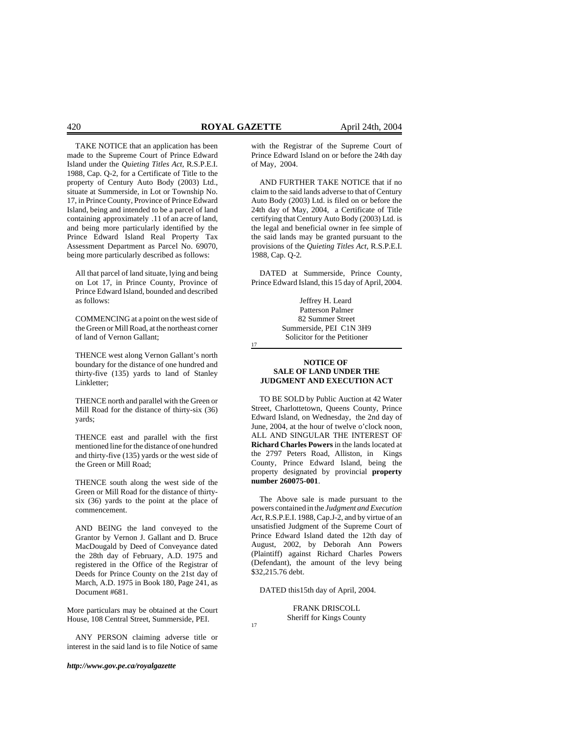TAKE NOTICE that an application has been made to the Supreme Court of Prince Edward Island under the *Quieting Titles Act*, R.S.P.E.I. 1988, Cap. Q-2, for a Certificate of Title to the property of Century Auto Body (2003) Ltd., situate at Summerside, in Lot or Township No. 17, in Prince County, Province of Prince Edward Island, being and intended to be a parcel of land containing approximately .11 of an acre of land, and being more particularly identified by the Prince Edward Island Real Property Tax Assessment Department as Parcel No. 69070, being more particularly described as follows:

All that parcel of land situate, lying and being on Lot 17, in Prince County, Province of Prince Edward Island, bounded and described as follows:

COMMENCING at a point on the west side of the Green or Mill Road, at the northeast corner of land of Vernon Gallant;

THENCE west along Vernon Gallant's north boundary for the distance of one hundred and thirty-five (135) yards to land of Stanley Linkletter;

THENCE north and parallel with the Green or Mill Road for the distance of thirty-six (36) yards;

THENCE east and parallel with the first mentioned line for the distance of one hundred and thirty-five (135) yards or the west side of the Green or Mill Road;

THENCE south along the west side of the Green or Mill Road for the distance of thirtysix (36) yards to the point at the place of commencement.

AND BEING the land conveyed to the Grantor by Vernon J. Gallant and D. Bruce MacDougald by Deed of Conveyance dated the 28th day of February, A.D. 1975 and registered in the Office of the Registrar of Deeds for Prince County on the 21st day of March, A.D. 1975 in Book 180, Page 241, as Document #681.

More particulars may be obtained at the Court House, 108 Central Street, Summerside, PEI.

ANY PERSON claiming adverse title or interest in the said land is to file Notice of same

*http://www.gov.pe.ca/royalgazette*

with the Registrar of the Supreme Court of Prince Edward Island on or before the 24th day of May, 2004.

AND FURTHER TAKE NOTICE that if no claim to the said lands adverse to that of Century Auto Body (2003) Ltd. is filed on or before the 24th day of May, 2004, a Certificate of Title certifying that Century Auto Body (2003) Ltd. is the legal and beneficial owner in fee simple of the said lands may be granted pursuant to the provisions of the *Quieting Titles Act,* R.S.P.E.I. 1988, Cap. Q-2*.*

DATED at Summerside, Prince County, Prince Edward Island, this 15 day of April, 2004.

> Jeffrey H. Leard Patterson Palmer 82 Summer Street Summerside, PEI C1N 3H9 Solicitor for the Petitioner

17

17

### **NOTICE OF SALE OF LAND UNDER THE JUDGMENT AND EXECUTION ACT**

TO BE SOLD by Public Auction at 42 Water Street, Charlottetown, Queens County, Prince Edward Island, on Wednesday, the 2nd day of June, 2004, at the hour of twelve o'clock noon, ALL AND SINGULAR THE INTEREST OF **Richard Charles Powers** in the lands located at the 2797 Peters Road, Alliston, in Kings County, Prince Edward Island, being the property designated by provincial **property number 260075-001**.

The Above sale is made pursuant to the powers contained in the *Judgment and Execution Act*, R.S.P.E.I. 1988, Cap.J-2, and by virtue of an unsatisfied Judgment of the Supreme Court of Prince Edward Island dated the 12th day of August, 2002, by Deborah Ann Powers (Plaintiff) against Richard Charles Powers (Defendant), the amount of the levy being \$32,215.76 debt.

DATED this15th day of April, 2004.

FRANK DRISCOLL Sheriff for Kings County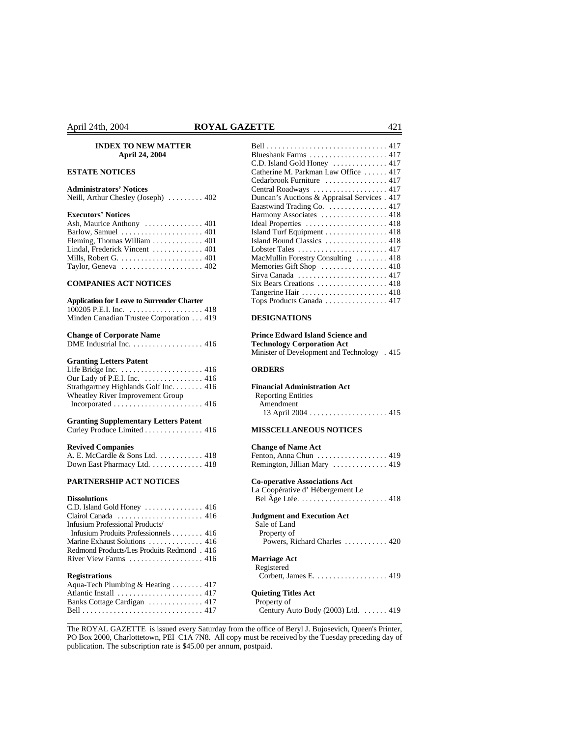#### **INDEX TO NEW MATTER April 24, 2004**

## **ESTATE NOTICES**

## **Administrators' Notices**

## **Executors' Notices**

| Ash, Maurice Anthony $\dots \dots \dots \dots \dots 401$  |  |
|-----------------------------------------------------------|--|
| Barlow, Samuel $\dots\dots\dots\dots\dots\dots\dots$ 401  |  |
| Fleming, Thomas William $\ldots \ldots \ldots \ldots$ 401 |  |
| Lindal, Frederick Vincent  401                            |  |
|                                                           |  |
| Taylor, Geneva $\dots\dots\dots\dots\dots\dots\dots\ 402$ |  |

## **COMPANIES ACT NOTICES**

## **Application for Leave to Surrender Charter**

| 100205 P.E.I. Inc. 418                  |  |  |
|-----------------------------------------|--|--|
| Minden Canadian Trustee Corporation 419 |  |  |

#### **Change of Corporate Name**

| DME Industrial Inc. $\ldots$ , $\ldots$ , $\ldots$ , $\ldots$ |  |  |  |  |  |  |  |  |  |  |  |  |  |  |  |  |  |  | 416 |  |  |
|---------------------------------------------------------------|--|--|--|--|--|--|--|--|--|--|--|--|--|--|--|--|--|--|-----|--|--|
|---------------------------------------------------------------|--|--|--|--|--|--|--|--|--|--|--|--|--|--|--|--|--|--|-----|--|--|

## **Granting Letters Patent**

| Our Lady of P.E.I. Inc. $\dots\dots\dots\dots\dots$ 416 |  |
|---------------------------------------------------------|--|
| Strathgartney Highlands Golf Inc. 416                   |  |
| Wheatley River Improvement Group                        |  |
|                                                         |  |

### **Granting Supplementary Letters Patent**

Curley Produce Limited . . . . . . . . . . . . . . . 416

#### **Revived Companies**

| A. E. McCardle & Sons Ltd. 418 |  |  |  |  |  |
|--------------------------------|--|--|--|--|--|
| Down East Pharmacy Ltd. 418    |  |  |  |  |  |

## **PARTNERSHIP ACT NOTICES**

#### **Dissolutions**

| $C.D.$ Island Gold Honey $\ldots \ldots \ldots \ldots$ 416     |
|----------------------------------------------------------------|
| Clairol Canada $\ldots \ldots \ldots \ldots \ldots \ldots$ 416 |
| Infusium Professional Products/                                |
| Infusium Produits Professionnels 416                           |
| Marine Exhaust Solutions  416                                  |
| Redmond Products/Les Produits Redmond. 416                     |
| River View Farms $\dots \dots \dots \dots \dots \dots$ . 416   |
| <b>Registrations</b>                                           |
| Aqua-Tech Plumbing & Heating  417                              |
|                                                                |

Banks Cottage Cardigan . . . . . . . . . . . . . . 417 Bell . . . . . . . . . . . . . . . . . . . . . . . . . . . . . . . 417

| April 24th, 2004                                                       | <b>ROYAL GAZETTE</b>                                                |  |
|------------------------------------------------------------------------|---------------------------------------------------------------------|--|
| <b>INDEX TO NEW MATTER</b>                                             |                                                                     |  |
| April 24, 2004                                                         | Blueshank Farms  417                                                |  |
|                                                                        | C.D. Island Gold Honey $\ldots \ldots \ldots \ldots 417$            |  |
| <b>ESTATE NOTICES</b>                                                  | Catherine M. Parkman Law Office  417                                |  |
|                                                                        | Cedarbrook Furniture  417                                           |  |
| <b>Administrators' Notices</b>                                         | Central Roadways $\ldots \ldots \ldots \ldots \ldots \ldots$ 417    |  |
| Neill, Arthur Chesley (Joseph) $\ldots \ldots$ 402                     | Duncan's Auctions & Appraisal Services . 417                        |  |
|                                                                        | Eaastwind Trading Co. 417                                           |  |
| <b>Executors' Notices</b>                                              | Harmony Associates  418                                             |  |
|                                                                        |                                                                     |  |
| Barlow, Samuel $\dots\dots\dots\dots\dots\dots\dots$ 401               | Island Turf Equipment $\ldots \ldots \ldots \ldots$ 418             |  |
| Fleming, Thomas William $\ldots \ldots \ldots \ldots$ 401              | Island Bound Classics  418                                          |  |
| Lindal, Frederick Vincent  401                                         |                                                                     |  |
| Mills, Robert G. $\dots \dots \dots \dots \dots \dots \dots \dots$ 401 | MacMullin Forestry Consulting  418                                  |  |
| Taylor, Geneva $\dots \dots \dots \dots \dots \dots \dots 402$         | Memories Gift Shop  418                                             |  |
|                                                                        | Sirva Canada $\ldots \ldots \ldots \ldots \ldots \ldots \ldots 417$ |  |
| <b>COMPANIES ACT NOTICES</b>                                           | Six Bears Creations  418                                            |  |
|                                                                        |                                                                     |  |
| <b>Application for Leave to Surrender Charter</b>                      |                                                                     |  |

## **DESIGNATIONS**

#### **Prince Edward Island Science and Technology Corporation Act**

Minister of Development and Technology . 415

## **ORDERS**

#### **Financial Administration Act** Reporting Entities

| Reporting Emmits |  |  |
|------------------|--|--|
| Amendment        |  |  |
|                  |  |  |

# **MISSCELLANEOUS NOTICES**

| <b>Change of Name Act</b>                                                |
|--------------------------------------------------------------------------|
| Fenton, Anna Chun  419                                                   |
| Remington, Jillian Mary  419                                             |
| <b>Co-operative Associations Act</b>                                     |
| La Coopérative d'Hébergement Le                                          |
| Bel Âge Ltée. $\ldots$ . $\ldots$ . $\ldots$ . $\ldots$ . $\ldots$ . 418 |
| <b>Judgment and Execution Act</b><br>Sale of Land                        |
| Property of                                                              |
| Powers, Richard Charles  420                                             |
| <b>Marriage Act</b>                                                      |
| Registered                                                               |
| Corbett, James E. 419                                                    |
| <b>Quieting Titles Act</b>                                               |
| Property of                                                              |
| Century Auto Body (2003) Ltd. 419                                        |

The ROYAL GAZETTE is issued every Saturday from the office of Beryl J. Bujosevich, Queen's Printer, PO Box 2000, Charlottetown, PEI C1A 7N8. All copy must be received by the Tuesday preceding day of publication. The subscription rate is \$45.00 per annum, postpaid.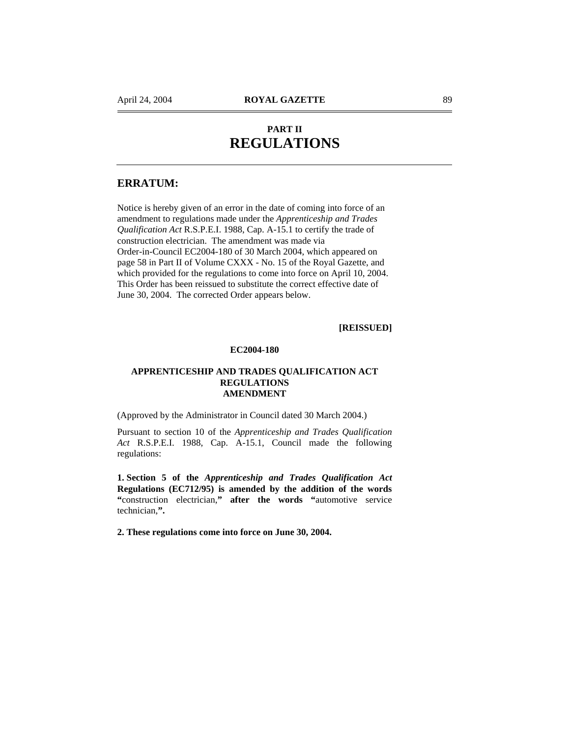# **PART II REGULATIONS**

# **ERRATUM:**

Notice is hereby given of an error in the date of coming into force of an amendment to regulations made under the *Apprenticeship and Trades Qualification Act* R.S.P.E.I. 1988, Cap. A-15.1 to certify the trade of construction electrician. The amendment was made via Order-in-Council EC2004-180 of 30 March 2004, which appeared on page 58 in Part II of Volume CXXX - No. 15 of the Royal Gazette, and which provided for the regulations to come into force on April 10, 2004. This Order has been reissued to substitute the correct effective date of June 30, 2004. The corrected Order appears below.

# **[REISSUED]**

## **EC2004-180**

## **APPRENTICESHIP AND TRADES QUALIFICATION ACT REGULATIONS AMENDMENT**

(Approved by the Administrator in Council dated 30 March 2004.)

Pursuant to section 10 of the *Apprenticeship and Trades Qualification Act* R.S.P.E.I. 1988, Cap. A-15.1, Council made the following regulations:

**1. Section 5 of the** *Apprenticeship and Trades Qualification Act*  **Regulations (EC712/95) is amended by the addition of the words "**construction electrician,**" after the words "**automotive service technician,**".** 

**2. These regulations come into force on June 30, 2004.**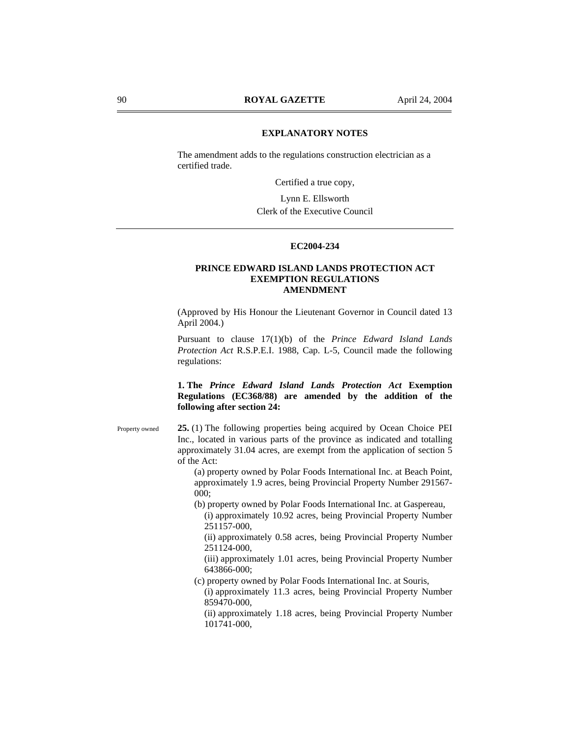## **EXPLANATORY NOTES**

The amendment adds to the regulations construction electrician as a certified trade.

Certified a true copy,

Lynn E. Ellsworth Clerk of the Executive Council

# **EC2004-234**

## **PRINCE EDWARD ISLAND LANDS PROTECTION ACT EXEMPTION REGULATIONS AMENDMENT**

(Approved by His Honour the Lieutenant Governor in Council dated 13 April 2004.)

Pursuant to clause 17(1)(b) of the *Prince Edward Island Lands Protection Act* R.S.P.E.I. 1988, Cap. L-5, Council made the following regulations:

# **1. The** *Prince Edward Island Lands Protection Act* **Exemption Regulations (EC368/88) are amended by the addition of the following after section 24:**

**25.** (1) The following properties being acquired by Ocean Choice PEI Inc., located in various parts of the province as indicated and totalling approximately 31.04 acres, are exempt from the application of section 5 of the Act: Property owned

> (a) property owned by Polar Foods International Inc. at Beach Point, approximately 1.9 acres, being Provincial Property Number 291567- 000;

(b) property owned by Polar Foods International Inc. at Gaspereau,

(i) approximately 10.92 acres, being Provincial Property Number 251157-000,

(ii) approximately 0.58 acres, being Provincial Property Number 251124-000,

(iii) approximately 1.01 acres, being Provincial Property Number 643866-000;

- (c) property owned by Polar Foods International Inc. at Souris,
	- (i) approximately 11.3 acres, being Provincial Property Number 859470-000,

(ii) approximately 1.18 acres, being Provincial Property Number 101741-000,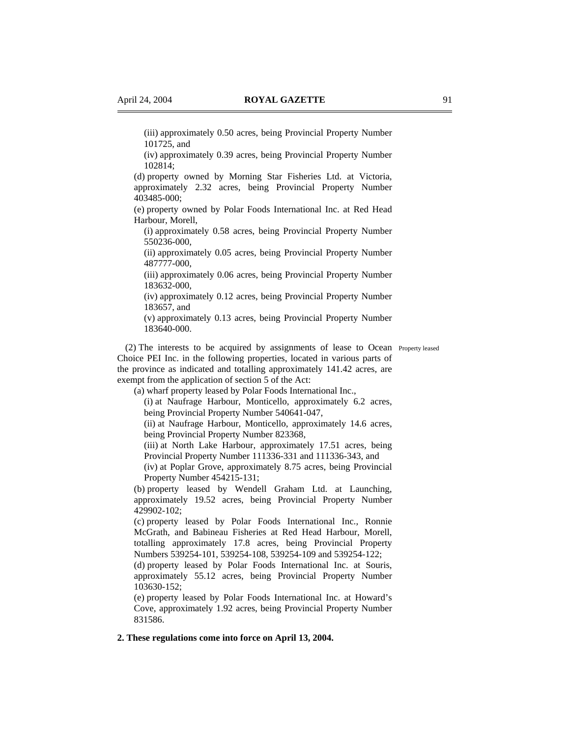(iii) approximately 0.50 acres, being Provincial Property Number 101725, and

(iv) approximately 0.39 acres, being Provincial Property Number 102814;

(d) property owned by Morning Star Fisheries Ltd. at Victoria, approximately 2.32 acres, being Provincial Property Number 403485-000;

(e) property owned by Polar Foods International Inc. at Red Head Harbour, Morell,

(i) approximately 0.58 acres, being Provincial Property Number 550236-000,

(ii) approximately 0.05 acres, being Provincial Property Number 487777-000,

(iii) approximately 0.06 acres, being Provincial Property Number 183632-000,

(iv) approximately 0.12 acres, being Provincial Property Number 183657, and

(v) approximately 0.13 acres, being Provincial Property Number 183640-000.

(2) The interests to be acquired by assignments of lease to Ocean Property leased Choice PEI Inc. in the following properties, located in various parts of the province as indicated and totalling approximately 141.42 acres, are exempt from the application of section 5 of the Act:

(a) wharf property leased by Polar Foods International Inc.,

(i) at Naufrage Harbour, Monticello, approximately 6.2 acres, being Provincial Property Number 540641-047,

(ii) at Naufrage Harbour, Monticello, approximately 14.6 acres, being Provincial Property Number 823368,

(iii) at North Lake Harbour, approximately 17.51 acres, being Provincial Property Number 111336-331 and 111336-343, and

(iv) at Poplar Grove, approximately 8.75 acres, being Provincial Property Number 454215-131;

(b) property leased by Wendell Graham Ltd. at Launching, approximately 19.52 acres, being Provincial Property Number 429902-102;

(c) property leased by Polar Foods International Inc., Ronnie McGrath, and Babineau Fisheries at Red Head Harbour, Morell, totalling approximately 17.8 acres, being Provincial Property Numbers 539254-101, 539254-108, 539254-109 and 539254-122;

(d) property leased by Polar Foods International Inc. at Souris, approximately 55.12 acres, being Provincial Property Number 103630-152;

(e) property leased by Polar Foods International Inc. at Howard's Cove, approximately 1.92 acres, being Provincial Property Number 831586.

## **2. These regulations come into force on April 13, 2004.**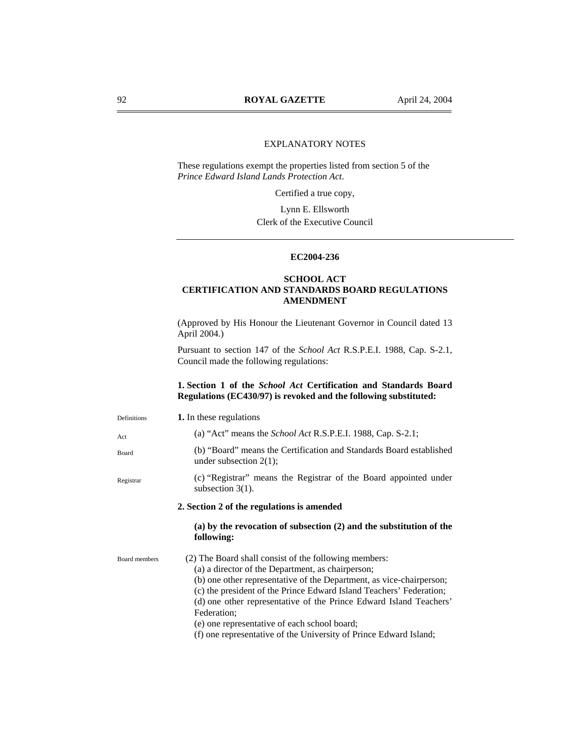# EXPLANATORY NOTES

These regulations exempt the properties listed from section 5 of the *Prince Edward Island Lands Protection Act*.

Certified a true copy,

Lynn E. Ellsworth Clerk of the Executive Council

# **EC2004-236**

# **SCHOOL ACT CERTIFICATION AND STANDARDS BOARD REGULATIONS AMENDMENT**

(Approved by His Honour the Lieutenant Governor in Council dated 13 April 2004.)

Pursuant to section 147 of the *School Act* R.S.P.E.I. 1988, Cap. S-2.1, Council made the following regulations:

# **1. Section 1 of the** *School Act* **Certification and Standards Board Regulations (EC430/97) is revoked and the following substituted:**

| Definitions          | 1. In these regulations                                                                                                                                                                                                                                                                                                                                                                                                                                             |
|----------------------|---------------------------------------------------------------------------------------------------------------------------------------------------------------------------------------------------------------------------------------------------------------------------------------------------------------------------------------------------------------------------------------------------------------------------------------------------------------------|
| Act                  | (a) "Act" means the <i>School Act</i> R.S.P.E.I. 1988, Cap. S-2.1;                                                                                                                                                                                                                                                                                                                                                                                                  |
| Board                | (b) "Board" means the Certification and Standards Board established<br>under subsection $2(1)$ ;                                                                                                                                                                                                                                                                                                                                                                    |
| Registrar            | (c) "Registrar" means the Registrar of the Board appointed under<br>subsection $3(1)$ .                                                                                                                                                                                                                                                                                                                                                                             |
|                      | 2. Section 2 of the regulations is amended                                                                                                                                                                                                                                                                                                                                                                                                                          |
|                      | (a) by the revocation of subsection $(2)$ and the substitution of the<br>following:                                                                                                                                                                                                                                                                                                                                                                                 |
| <b>Board members</b> | (2) The Board shall consist of the following members:<br>(a) a director of the Department, as chairperson;<br>(b) one other representative of the Department, as vice-chairperson;<br>(c) the president of the Prince Edward Island Teachers' Federation;<br>(d) one other representative of the Prince Edward Island Teachers'<br>Federation;<br>(e) one representative of each school board;<br>(f) one representative of the University of Prince Edward Island; |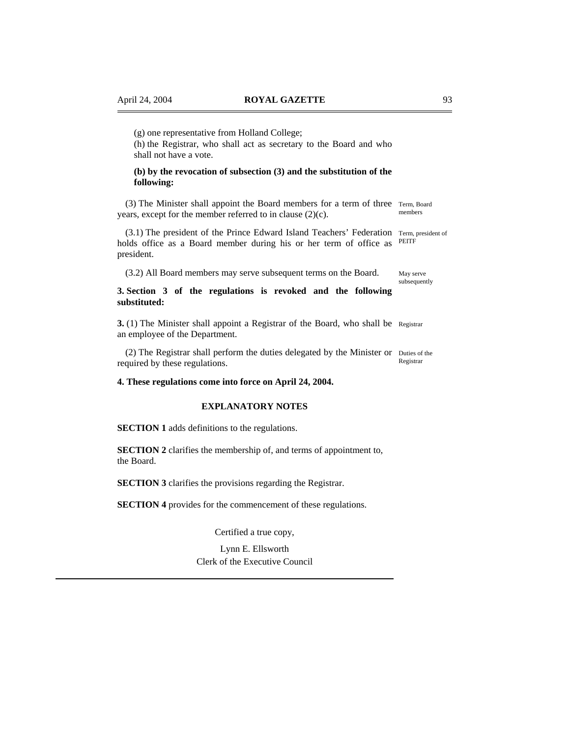(g) one representative from Holland College;

(h) the Registrar, who shall act as secretary to the Board and who shall not have a vote.

## **(b) by the revocation of subsection (3) and the substitution of the following:**

(3) The Minister shall appoint the Board members for a term of three Term, Board years, except for the member referred to in clause (2)(c). members

(3.1) The president of the Prince Edward Island Teachers' Federation Term, president of holds office as a Board member during his or her term of office as president.

(3.2) All Board members may serve subsequent terms on the Board.

## **3. Section 3 of the regulations is revoked and the following substituted:**

**3.** (1) The Minister shall appoint a Registrar of the Board, who shall be Registrar an employee of the Department.

(2) The Registrar shall perform the duties delegated by the Minister or Duties of the required by these regulations.

**4. These regulations come into force on April 24, 2004.** 

## **EXPLANATORY NOTES**

**SECTION 1** adds definitions to the regulations.

**SECTION 2** clarifies the membership of, and terms of appointment to, the Board.

**SECTION 3** clarifies the provisions regarding the Registrar.

**SECTION 4** provides for the commencement of these regulations.

Certified a true copy,

Lynn E. Ellsworth Clerk of the Executive Council

PEITF

May serve subsequently

Registrar